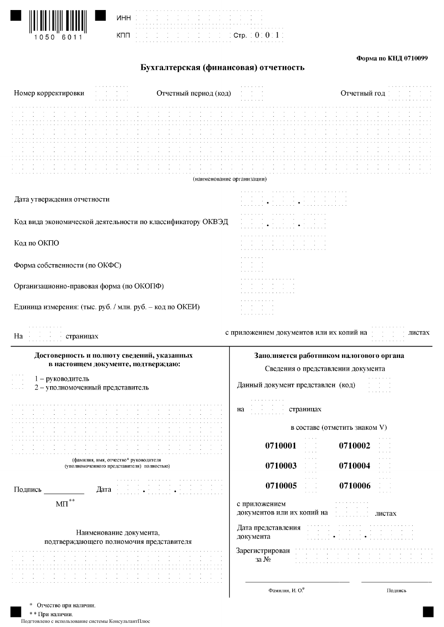| $\left\  \left\  \right\  \left\  \left\  \right\  \left\  \left\  \right\  \right\  \left\  \left\  \left\  \right\  \right\  \right\  \right\ $ |  |
|---------------------------------------------------------------------------------------------------------------------------------------------------|--|
| 1050 6011                                                                                                                                         |  |

| <b>MHH</b> |  |  |  |  |  |  | the contract of the contract of the contract of the contract of the contract of the contract of |  |  |  |  |  |  |  |  |  |  |  |                                                                 |  |  |
|------------|--|--|--|--|--|--|-------------------------------------------------------------------------------------------------|--|--|--|--|--|--|--|--|--|--|--|-----------------------------------------------------------------|--|--|
|            |  |  |  |  |  |  | the control of the control of the control of the control of the control of the control of       |  |  |  |  |  |  |  |  |  |  |  |                                                                 |  |  |
|            |  |  |  |  |  |  |                                                                                                 |  |  |  |  |  |  |  |  |  |  |  |                                                                 |  |  |
|            |  |  |  |  |  |  |                                                                                                 |  |  |  |  |  |  |  |  |  |  |  |                                                                 |  |  |
| кпп        |  |  |  |  |  |  |                                                                                                 |  |  |  |  |  |  |  |  |  |  |  | . In the first part of the first of $\mathtt{Crp}$ , $0.0111$ , |  |  |
|            |  |  |  |  |  |  |                                                                                                 |  |  |  |  |  |  |  |  |  |  |  |                                                                 |  |  |
|            |  |  |  |  |  |  |                                                                                                 |  |  |  |  |  |  |  |  |  |  |  |                                                                 |  |  |

#### Форма по КНД 0710099

# Бухгалтерская (финансовая) отчетность

| (наименование организации)<br>$\sim 10^{-1}$<br>Дата утверждения отчетности<br>$\mathcal{O}(\mathcal{O}(n^2))$ , $\mathcal{O}(\mathcal{O}(n^2))$ , $\mathcal{O}(\mathcal{O}(n^2))$<br>and a strain and<br>Код вида экономической деятельности по классификатору ОКВЭД<br>the company of the company<br>Код по ОКПО<br><b>Contract Contract</b><br>Форма собственности (по ОКФС)<br>Организационно-правовая форма (по ОКОПФ)<br>Единица измерения: (тыс. руб. / млн. руб. - код по ОКЕИ)<br>a carra carra carra car<br>с приложением документов или их копий на<br>листах<br>На страницах<br>Заполняется работником налогового органа<br>Достоверность и полноту сведений, указанных<br>в настоящем документе, подтверждаю:<br>Сведения о представлении документа<br>1 - руководитель<br>Данный документ представлен (код)<br>2 - уполномоченный представитель<br>and a series of<br>страницах<br>Ha<br>в составе (отметить знаком V)<br>and a state<br>0710001<br>0710002<br>$\alpha$ , $\beta$ , $\alpha$<br>and a state<br>(фамилия, имя, отчество* руководителя<br>0710003<br>0710004<br>(уполномоченного представителя) полностью)<br>$\alpha = 1/2$<br>0710005<br>0710006<br>$\sim$<br>Подпись<br>Дата<br>$\text{MII}^{\ast\ast}$<br>с приложением<br>документов или их копий на<br>листах<br>Дата представления<br>Наименование документа,<br>документа<br>подтверждающего полномочия представителя<br>Зарегистрирован<br>$3a$ $N_2$<br>Фамилия, И. О.*<br>Подпись<br>Отчество при наличии. | Номер корректировки | Отчетный период (код) | Отчетный год |
|---------------------------------------------------------------------------------------------------------------------------------------------------------------------------------------------------------------------------------------------------------------------------------------------------------------------------------------------------------------------------------------------------------------------------------------------------------------------------------------------------------------------------------------------------------------------------------------------------------------------------------------------------------------------------------------------------------------------------------------------------------------------------------------------------------------------------------------------------------------------------------------------------------------------------------------------------------------------------------------------------------------------------------------------------------------------------------------------------------------------------------------------------------------------------------------------------------------------------------------------------------------------------------------------------------------------------------------------------------------------------------------------------------------------------------------------------------------------------------------------------|---------------------|-----------------------|--------------|
|                                                                                                                                                                                                                                                                                                                                                                                                                                                                                                                                                                                                                                                                                                                                                                                                                                                                                                                                                                                                                                                                                                                                                                                                                                                                                                                                                                                                                                                                                                   |                     |                       |              |
|                                                                                                                                                                                                                                                                                                                                                                                                                                                                                                                                                                                                                                                                                                                                                                                                                                                                                                                                                                                                                                                                                                                                                                                                                                                                                                                                                                                                                                                                                                   |                     |                       |              |
|                                                                                                                                                                                                                                                                                                                                                                                                                                                                                                                                                                                                                                                                                                                                                                                                                                                                                                                                                                                                                                                                                                                                                                                                                                                                                                                                                                                                                                                                                                   |                     |                       |              |
|                                                                                                                                                                                                                                                                                                                                                                                                                                                                                                                                                                                                                                                                                                                                                                                                                                                                                                                                                                                                                                                                                                                                                                                                                                                                                                                                                                                                                                                                                                   |                     |                       |              |
|                                                                                                                                                                                                                                                                                                                                                                                                                                                                                                                                                                                                                                                                                                                                                                                                                                                                                                                                                                                                                                                                                                                                                                                                                                                                                                                                                                                                                                                                                                   |                     |                       |              |
|                                                                                                                                                                                                                                                                                                                                                                                                                                                                                                                                                                                                                                                                                                                                                                                                                                                                                                                                                                                                                                                                                                                                                                                                                                                                                                                                                                                                                                                                                                   |                     |                       |              |
|                                                                                                                                                                                                                                                                                                                                                                                                                                                                                                                                                                                                                                                                                                                                                                                                                                                                                                                                                                                                                                                                                                                                                                                                                                                                                                                                                                                                                                                                                                   |                     |                       |              |
|                                                                                                                                                                                                                                                                                                                                                                                                                                                                                                                                                                                                                                                                                                                                                                                                                                                                                                                                                                                                                                                                                                                                                                                                                                                                                                                                                                                                                                                                                                   |                     |                       |              |
|                                                                                                                                                                                                                                                                                                                                                                                                                                                                                                                                                                                                                                                                                                                                                                                                                                                                                                                                                                                                                                                                                                                                                                                                                                                                                                                                                                                                                                                                                                   |                     |                       |              |
|                                                                                                                                                                                                                                                                                                                                                                                                                                                                                                                                                                                                                                                                                                                                                                                                                                                                                                                                                                                                                                                                                                                                                                                                                                                                                                                                                                                                                                                                                                   |                     |                       |              |
|                                                                                                                                                                                                                                                                                                                                                                                                                                                                                                                                                                                                                                                                                                                                                                                                                                                                                                                                                                                                                                                                                                                                                                                                                                                                                                                                                                                                                                                                                                   |                     |                       |              |
|                                                                                                                                                                                                                                                                                                                                                                                                                                                                                                                                                                                                                                                                                                                                                                                                                                                                                                                                                                                                                                                                                                                                                                                                                                                                                                                                                                                                                                                                                                   |                     |                       |              |
|                                                                                                                                                                                                                                                                                                                                                                                                                                                                                                                                                                                                                                                                                                                                                                                                                                                                                                                                                                                                                                                                                                                                                                                                                                                                                                                                                                                                                                                                                                   |                     |                       |              |
|                                                                                                                                                                                                                                                                                                                                                                                                                                                                                                                                                                                                                                                                                                                                                                                                                                                                                                                                                                                                                                                                                                                                                                                                                                                                                                                                                                                                                                                                                                   |                     |                       |              |
|                                                                                                                                                                                                                                                                                                                                                                                                                                                                                                                                                                                                                                                                                                                                                                                                                                                                                                                                                                                                                                                                                                                                                                                                                                                                                                                                                                                                                                                                                                   |                     |                       |              |
|                                                                                                                                                                                                                                                                                                                                                                                                                                                                                                                                                                                                                                                                                                                                                                                                                                                                                                                                                                                                                                                                                                                                                                                                                                                                                                                                                                                                                                                                                                   |                     |                       |              |
|                                                                                                                                                                                                                                                                                                                                                                                                                                                                                                                                                                                                                                                                                                                                                                                                                                                                                                                                                                                                                                                                                                                                                                                                                                                                                                                                                                                                                                                                                                   |                     |                       |              |
|                                                                                                                                                                                                                                                                                                                                                                                                                                                                                                                                                                                                                                                                                                                                                                                                                                                                                                                                                                                                                                                                                                                                                                                                                                                                                                                                                                                                                                                                                                   |                     |                       |              |
| *                                                                                                                                                                                                                                                                                                                                                                                                                                                                                                                                                                                                                                                                                                                                                                                                                                                                                                                                                                                                                                                                                                                                                                                                                                                                                                                                                                                                                                                                                                 |                     |                       |              |

\* \* При наличии.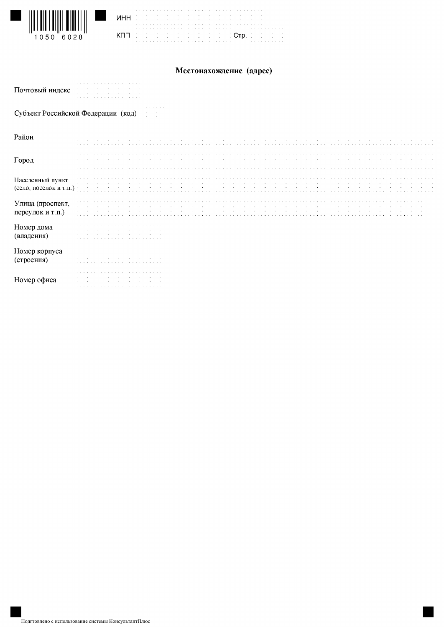

|  |  |  |  |  |  |  |  |  | the control of the control of the control of the control of the control of the control of the control of<br>the control of the control of the control of the control of the control of the control of |  |  |  |  |  |  |  |  |                                                                                                                                                                                                                               |  |  |  |
|--|--|--|--|--|--|--|--|--|-------------------------------------------------------------------------------------------------------------------------------------------------------------------------------------------------------|--|--|--|--|--|--|--|--|-------------------------------------------------------------------------------------------------------------------------------------------------------------------------------------------------------------------------------|--|--|--|
|  |  |  |  |  |  |  |  |  |                                                                                                                                                                                                       |  |  |  |  |  |  |  |  |                                                                                                                                                                                                                               |  |  |  |
|  |  |  |  |  |  |  |  |  |                                                                                                                                                                                                       |  |  |  |  |  |  |  |  |                                                                                                                                                                                                                               |  |  |  |
|  |  |  |  |  |  |  |  |  |                                                                                                                                                                                                       |  |  |  |  |  |  |  |  | de de de de de de de de di <mark>. Ctp.</mark> de de de d                                                                                                                                                                     |  |  |  |
|  |  |  |  |  |  |  |  |  |                                                                                                                                                                                                       |  |  |  |  |  |  |  |  |                                                                                                                                                                                                                               |  |  |  |
|  |  |  |  |  |  |  |  |  |                                                                                                                                                                                                       |  |  |  |  |  |  |  |  | a constitution of the constitution of the constitution of the constitution of the constitution of the constitution of the constitution of the constitution of the constitution of the constitution of the constitution of the |  |  |  |

## Местонахождение (адрес)

| Почтовый индекс                            |                                                                                          |
|--------------------------------------------|------------------------------------------------------------------------------------------|
|                                            | the company's company's<br>Субъект Российской Федерации (код)<br>the company's company's |
| Район                                      |                                                                                          |
| Город                                      |                                                                                          |
| Населенный пункт<br>(село, поселок и т.п.) |                                                                                          |
| Улица (проспект,<br>переулок и т.п.)       | $\sim$ $\sim$                                                                            |
| Номер дома<br>(владения)                   |                                                                                          |
| Номер корпуса<br>(строения)                |                                                                                          |
| Номер офиса                                |                                                                                          |

۱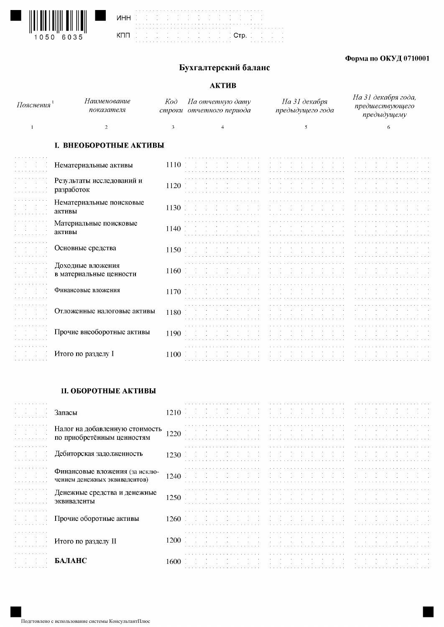





## Форма по ОКУД 0710001

## Бухгалтерский баланс

#### АКТИВ

| Пояснения                                                                                                                                                                                                                      | Наименование<br>показателя              | Koò. | На отчетную дату<br>строки отчетного периода | На 31 декабря<br>предыдущего года                                                                               | На 31 декабря года,<br>предшествующего<br>предыдущему |
|--------------------------------------------------------------------------------------------------------------------------------------------------------------------------------------------------------------------------------|-----------------------------------------|------|----------------------------------------------|-----------------------------------------------------------------------------------------------------------------|-------------------------------------------------------|
|                                                                                                                                                                                                                                |                                         |      |                                              |                                                                                                                 |                                                       |
|                                                                                                                                                                                                                                | <b>I. ВНЕОБОРОТНЫЕ АКТИВЫ</b>           |      |                                              |                                                                                                                 |                                                       |
|                                                                                                                                                                                                                                | Нематериальные активы                   | 1110 |                                              | the contract of the contract of the contract of the contract                                                    | the contract of the contract of the contract of the   |
|                                                                                                                                                                                                                                | Результаты исследований и<br>разработок | 1120 |                                              |                                                                                                                 |                                                       |
| the contract of the communications of the contract of the contract of the contract of the contract of the contract of the contract of the contract of the contract of the contract of the contract of the contract of the cont | Нематериальные поисковые                | 1130 |                                              | the contract of the contract of the contract of the contract of the contract of the contract of the contract of |                                                       |

|                             | TIUMATUPHAJIDHDIU HUHUNUDDIU<br>активы       | 1130 |                                             |                                   |
|-----------------------------|----------------------------------------------|------|---------------------------------------------|-----------------------------------|
| .                           | Материальные поисковые<br>активы             | 1140 |                                             |                                   |
| .                           | Основные средства                            | 1150 |                                             |                                   |
|                             | Доходные вложения<br>в материальные ценности | 1160 |                                             |                                   |
|                             | Финансовые вложения                          | 1170 |                                             |                                   |
| .                           | Отложенные налоговые активы                  | 1180 |                                             |                                   |
|                             | Прочие внеоборотные активы                   | 1190 |                                             |                                   |
| and the company's company's | Итого по разделу I                           | 1100 | the company's company's company's company's | the control of the control of the |

### **II. ОБОРОТНЫЕ АКТИВЫ**

| .      | Запасы                                                          | 1210 |  |  |
|--------|-----------------------------------------------------------------|------|--|--|
| .      | Налог на добавленную стоимость<br>по приобретённым ценностям    | 1220 |  |  |
| .      | Дебиторская задолженность                                       | 1230 |  |  |
|        | Финансовые вложения (за исклю-<br>чением денежных эквивалентов) | 1240 |  |  |
| .      | Денежные средства и денежные<br>эквиваленты                     | 1250 |  |  |
| .      | Прочие оборотные активы                                         | 1260 |  |  |
| .      | Итого по разделу II                                             | 1200 |  |  |
| .<br>. | БАЛАНС                                                          | 1600 |  |  |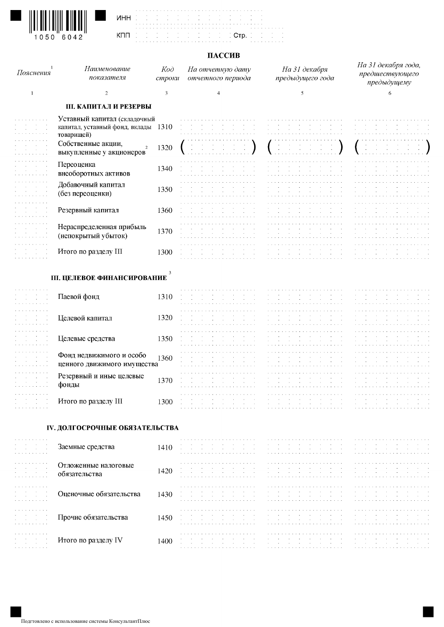

#### ПАССИВ

÷,  $\frac{1}{2}$ 

| Пояснения                                                                                                                      | Наименование<br>показателя                                                                                                                            | Koò<br>строки | На отчетную дату<br>отчетного периода                                                                                                                                                                                                                                                                                                                                                          | На 31 декабря<br>предыдущего года                                                                                                                                                                                                                                                                                                                                                                                                                                                   | На 31 декабря года,<br>предшествующего<br>предыдущему                                                                                                                                                                                             |
|--------------------------------------------------------------------------------------------------------------------------------|-------------------------------------------------------------------------------------------------------------------------------------------------------|---------------|------------------------------------------------------------------------------------------------------------------------------------------------------------------------------------------------------------------------------------------------------------------------------------------------------------------------------------------------------------------------------------------------|-------------------------------------------------------------------------------------------------------------------------------------------------------------------------------------------------------------------------------------------------------------------------------------------------------------------------------------------------------------------------------------------------------------------------------------------------------------------------------------|---------------------------------------------------------------------------------------------------------------------------------------------------------------------------------------------------------------------------------------------------|
| $\mathbf{1}$                                                                                                                   | $\overline{2}$                                                                                                                                        | 3             | $\overline{4}$                                                                                                                                                                                                                                                                                                                                                                                 | $\mathfrak{s}$                                                                                                                                                                                                                                                                                                                                                                                                                                                                      | 6                                                                                                                                                                                                                                                 |
|                                                                                                                                | <b>III. КАПИТАЛ И РЕЗЕРВЫ</b>                                                                                                                         |               |                                                                                                                                                                                                                                                                                                                                                                                                |                                                                                                                                                                                                                                                                                                                                                                                                                                                                                     |                                                                                                                                                                                                                                                   |
| and a series and a series<br>$\sim 100$<br>$\sim$<br>$\sim 10$<br>والمناجير والمناجير والمناجيرة<br>and the service control of | Уставный капитал (складочный<br>капитал, уставный фонд, вклады 1310<br>товарищей)<br>Собственные акции,<br>$\overline{2}$<br>выкупленные у акционеров | 1320          | contract and                                                                                                                                                                                                                                                                                                                                                                                   | $\mathbf{a} = \left\{ \begin{array}{ll} 0 & \text{if} \ \mathbf{a} = \left\{ \begin{array}{ll} 0 & \text{if} \ \mathbf{a} = \left\{ \begin{array}{ll} 0 & \text{if} \ \mathbf{a} = \left\{ \begin{array}{ll} 0 & \text{if} \ \mathbf{a} = \left\{ \begin{array}{ll} 0 & \text{if} \ \mathbf{a} = \left\{ \begin{array}{ll} 0 & \text{if} \ \mathbf{a} = \left\{ \begin{array}{ll} 0 & \text{if} \ \mathbf{a} = \left\{ \begin{array}{ll} 0 & \text{if} \ \mathbf{$<br>$\sim$ $\sim$ | a construction of the construction of the construction of the construction of the construction of the construction of the construction of the construction of the construction of the construction of the construction of the<br>and the state of |
| المتعاط والمتعاط والمتعاط                                                                                                      | Переоценка<br>внеоборотных активов                                                                                                                    | 1340          |                                                                                                                                                                                                                                                                                                                                                                                                |                                                                                                                                                                                                                                                                                                                                                                                                                                                                                     |                                                                                                                                                                                                                                                   |
| and a state of<br>and a series and an                                                                                          | Добавочный капитал<br>(без переоценки)                                                                                                                | 1350          | $\sim$<br>$\sim 10^{-1}$                                                                                                                                                                                                                                                                                                                                                                       | .                                                                                                                                                                                                                                                                                                                                                                                                                                                                                   |                                                                                                                                                                                                                                                   |
| $\sim$<br>$\sim 100$                                                                                                           | Резервный капитал                                                                                                                                     | 1360          |                                                                                                                                                                                                                                                                                                                                                                                                |                                                                                                                                                                                                                                                                                                                                                                                                                                                                                     |                                                                                                                                                                                                                                                   |
| the service service                                                                                                            | Нераспределенная прибыль<br>(непокрытый убыток)                                                                                                       | 1370          |                                                                                                                                                                                                                                                                                                                                                                                                |                                                                                                                                                                                                                                                                                                                                                                                                                                                                                     |                                                                                                                                                                                                                                                   |
|                                                                                                                                | Итого по разделу III                                                                                                                                  | 1300          | the company of the com-<br><b>Contract Contract</b>                                                                                                                                                                                                                                                                                                                                            | $\sim$<br>$\sim$<br>$\sim$                                                                                                                                                                                                                                                                                                                                                                                                                                                          |                                                                                                                                                                                                                                                   |
|                                                                                                                                | <b>III. ЦЕЛЕВОЕ ФИНАНСИРОВАНИЕ</b>                                                                                                                    |               |                                                                                                                                                                                                                                                                                                                                                                                                |                                                                                                                                                                                                                                                                                                                                                                                                                                                                                     |                                                                                                                                                                                                                                                   |
| and a series and a series of<br>$\sim 10^{-11}$<br>$\sim$<br>$\sim$<br>$\sim$<br>a construction of the con-                    | Паевой фонд                                                                                                                                           | 1310          | $\sim$<br>$\sim$                                                                                                                                                                                                                                                                                                                                                                               | .<br>$\sim$                                                                                                                                                                                                                                                                                                                                                                                                                                                                         | $\epsilon$                                                                                                                                                                                                                                        |
| $\sim$                                                                                                                         | Целевой капитал                                                                                                                                       | 1320          | والمتواطئ والمتعاون والمتعاونة والمتعاونة والمتعاونة                                                                                                                                                                                                                                                                                                                                           |                                                                                                                                                                                                                                                                                                                                                                                                                                                                                     |                                                                                                                                                                                                                                                   |
|                                                                                                                                | Целевые средства                                                                                                                                      | 1350          |                                                                                                                                                                                                                                                                                                                                                                                                |                                                                                                                                                                                                                                                                                                                                                                                                                                                                                     |                                                                                                                                                                                                                                                   |
| and the control<br>and the second company of the                                                                               | Фонд недвижимого и особо<br>ценного движимого имущества                                                                                               | 1360          | $\cdot$                                                                                                                                                                                                                                                                                                                                                                                        |                                                                                                                                                                                                                                                                                                                                                                                                                                                                                     |                                                                                                                                                                                                                                                   |
| and a state of the state of the<br><b>Contract Contract</b><br>a caracteristic and an                                          | Резервный и иные целевые<br>фонды                                                                                                                     | 1370          | a carra carra carra carra carra car                                                                                                                                                                                                                                                                                                                                                            | $\sim$                                                                                                                                                                                                                                                                                                                                                                                                                                                                              |                                                                                                                                                                                                                                                   |
|                                                                                                                                | Итого по разделу III                                                                                                                                  | 1300          | a construction of the construction of the construction of the                                                                                                                                                                                                                                                                                                                                  |                                                                                                                                                                                                                                                                                                                                                                                                                                                                                     | and the company of the company of the company of the company of the company of the company of the company of the company of the company of the company of the company of the company of the company of the company of the comp                    |
|                                                                                                                                | IV. ДОЛГОСРОЧНЫЕ ОБЯЗАТЕЛЬСТВА                                                                                                                        |               |                                                                                                                                                                                                                                                                                                                                                                                                |                                                                                                                                                                                                                                                                                                                                                                                                                                                                                     |                                                                                                                                                                                                                                                   |
| <b>Contractor</b>                                                                                                              | Заемные средства                                                                                                                                      | 1410          | $\begin{array}{l} \mathcal{L}_{\mathcal{A}}(\mathcal{A})=\mathcal{L}_{\mathcal{A}}(\mathcal{A})=\mathcal{L}_{\mathcal{A}}(\mathcal{A})=\mathcal{L}_{\mathcal{A}}(\mathcal{A})=\mathcal{L}_{\mathcal{A}}(\mathcal{A})\\ \mathcal{L}_{\mathcal{A}}(\mathcal{A})=\mathcal{L}_{\mathcal{A}}(\mathcal{A})=\mathcal{L}_{\mathcal{A}}(\mathcal{A})=\mathcal{L}_{\mathcal{A}}(\mathcal{A})\end{array}$ | $\sim 100$<br>$\sim 10^{-1}$<br><b>Contract</b><br>$\sim$<br><b>Contractor</b><br>$\sim 100$<br><b>Contract</b><br><b>Contract</b>                                                                                                                                                                                                                                                                                                                                                  | $\sim$                                                                                                                                                                                                                                            |
| $\sim$                                                                                                                         | Отложенные налоговые<br>обязательства                                                                                                                 | 1420          | $\sim$ $\sim$<br>the control of the control of the                                                                                                                                                                                                                                                                                                                                             |                                                                                                                                                                                                                                                                                                                                                                                                                                                                                     |                                                                                                                                                                                                                                                   |
|                                                                                                                                | Оценочные обязательства                                                                                                                               | 1430          | service and the contract of the con-<br>the contract of the contract of the contract of                                                                                                                                                                                                                                                                                                        | <b>Contract Contract</b><br>$\Delta \sim 10$<br>$\sim$<br><b>Contractor</b><br><b>Contract</b><br>$\sim$<br>$\sim 10^{-1}$<br>$\sim 100$<br>$\sim 100$<br>$\sim 100$ km s $^{-1}$<br><b>Contract</b><br><b>Contract</b>                                                                                                                                                                                                                                                             | the company of the<br><b>Contract</b><br>$\sim 10^{-1}$<br>$\sim 10^{-1}$                                                                                                                                                                         |
|                                                                                                                                | Прочие обязательства                                                                                                                                  | 1450          | $\mathbf{A}$ and $\mathbf{A}$ are all $\mathbf{A}$ and $\mathbf{A}$ are all $\mathbf{A}$ and $\mathbf{A}$<br>.                                                                                                                                                                                                                                                                                 |                                                                                                                                                                                                                                                                                                                                                                                                                                                                                     |                                                                                                                                                                                                                                                   |
|                                                                                                                                | Итого по разделу IV                                                                                                                                   | 1400          | $\sim$                                                                                                                                                                                                                                                                                                                                                                                         | $\sim$<br>$\sim$<br>$\sim$<br>$\sim 10^{-11}$<br>$\sim$<br>$\sim$ $\sim$<br>$\sim$                                                                                                                                                                                                                                                                                                                                                                                                  | $\sim$<br>$\sim 10^{-1}$<br>$\sim 10^{-11}$<br>$\sim$                                                                                                                                                                                             |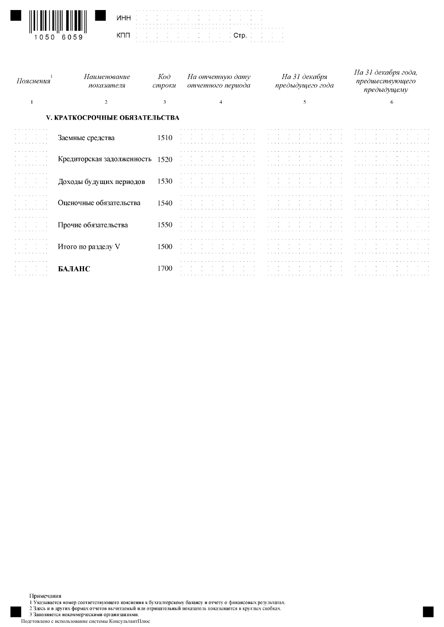

**UHH** КПП

Стр.

| Пояснения                  | Наименование<br>показателя            | $K$ od<br>строки | На отчетную дату<br>отчетного периода | На 31 декабря<br>предыдущего года | На 31 декабря года,<br>предшествующего<br>предыдущему |
|----------------------------|---------------------------------------|------------------|---------------------------------------|-----------------------------------|-------------------------------------------------------|
| -1                         | $\mathbf{2}$                          | 3                |                                       | 5                                 | 6                                                     |
|                            | <b>V. КРАТКОСРОЧНЫЕ ОБЯЗАТЕЛЬСТВА</b> |                  |                                       |                                   |                                                       |
|                            | Заемные средства                      | 1510             |                                       |                                   |                                                       |
|                            | Кредиторская задолженность 1520       |                  |                                       |                                   |                                                       |
|                            | Доходы будущих периодов               | 1530             |                                       |                                   |                                                       |
|                            | Оценочные обязательства               | 1540             |                                       |                                   |                                                       |
|                            | Прочие обязательства                  | 1550             |                                       |                                   |                                                       |
|                            | Итого по разделу V                    | 1500             |                                       |                                   |                                                       |
| المتعاط والمتعاط والمتعاطي | БАЛАНС                                | 1700             |                                       |                                   |                                                       |

Примечания

- .<br>1 Указывается номер соответствующего пояснения к бухгалтерскому балансу и отчету о финансовых результатах.<br>2 Здесь и в других формах отчетов вычитаемый или отрицательный показатель показывается в круглых скобках.

3 Заполняется некоммерческими организациями.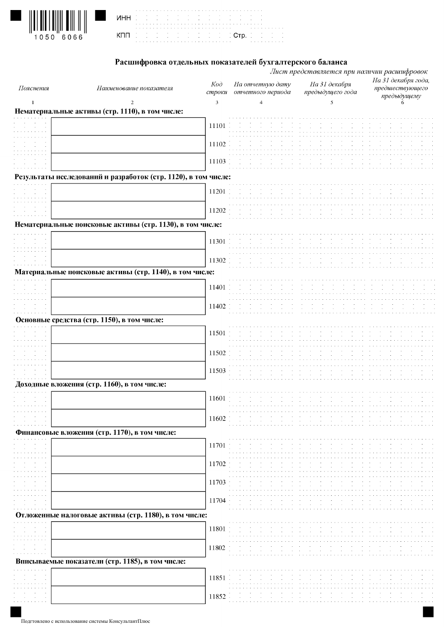| $\left\  \bm{\mathsf{I}} \!\! \left[ \bm{\mathsf{I}} \!\! \left[ \bm{\mathsf{I}} \!\! \left[ \bm{\mathsf{I}} \!\! \left[ \bm{\mathsf{I}} \!\! \left[ \bm{\mathsf{I}} \!\! \left[ \bm{\mathsf{I}} \!\! \left[ \bm{\mathsf{I}} \!\! \left[ \bm{\mathsf{I}} \!\! \left[ \bm{\mathsf{I}} \right] \right] \right] \right] \right] \right\ $ |           |  |
|----------------------------------------------------------------------------------------------------------------------------------------------------------------------------------------------------------------------------------------------------------------------------------------------------------------------------------------|-----------|--|
|                                                                                                                                                                                                                                                                                                                                        | 1050 6066 |  |

|  | الموارد الموارد الموارد الموارد الموارد الموارد الموارد الموارد الموارد الموارد الموارد الموارد الموارد الموار<br>الموارد الموارد الموارد الموارد الموارد الموارد الموارد الموارد الموارد الموارد الموارد الموارد الموارد الموار |  |  |  |  |  |  |  |  |  |  |  |  |  |  |  |  |  |  |  |                                                           |  |
|--|----------------------------------------------------------------------------------------------------------------------------------------------------------------------------------------------------------------------------------|--|--|--|--|--|--|--|--|--|--|--|--|--|--|--|--|--|--|--|-----------------------------------------------------------|--|
|  | a constitution of the constitution of the constitution of the constitution of the constitution of the constitution of the constitution of the constitution of the constitution of the constitution of the constitution of the    |  |  |  |  |  |  |  |  |  |  |  |  |  |  |  |  |  |  |  | de de de de de de de de di <mark>. Crp.</mark> de de de d |  |

# Расшифровка отдельных показателей бухгалтерского баланса

| Пояснения        | Наименование показателя                                        | Koò<br>строки | На отчетную дату<br>отчетного периода | На 31 декабря<br>предыдущего года                                                                                                                                                                                              | На 31 декабря года,<br>предшествующего<br>предыдущему                                                                                                                                                                          |
|------------------|----------------------------------------------------------------|---------------|---------------------------------------|--------------------------------------------------------------------------------------------------------------------------------------------------------------------------------------------------------------------------------|--------------------------------------------------------------------------------------------------------------------------------------------------------------------------------------------------------------------------------|
| 1                | 2                                                              | 3             | $\overline{4}$                        | 5                                                                                                                                                                                                                              |                                                                                                                                                                                                                                |
|                  | Нематериальные активы (стр. 1110), в том числе:                |               |                                       |                                                                                                                                                                                                                                |                                                                                                                                                                                                                                |
|                  |                                                                | 11101         |                                       |                                                                                                                                                                                                                                |                                                                                                                                                                                                                                |
|                  |                                                                |               |                                       |                                                                                                                                                                                                                                |                                                                                                                                                                                                                                |
|                  |                                                                | 11102         |                                       |                                                                                                                                                                                                                                |                                                                                                                                                                                                                                |
|                  |                                                                |               |                                       |                                                                                                                                                                                                                                |                                                                                                                                                                                                                                |
|                  |                                                                | 11103         |                                       |                                                                                                                                                                                                                                |                                                                                                                                                                                                                                |
|                  | Результаты исследований и разработок (стр. 1120), в том числе: |               |                                       |                                                                                                                                                                                                                                |                                                                                                                                                                                                                                |
|                  |                                                                |               |                                       |                                                                                                                                                                                                                                |                                                                                                                                                                                                                                |
|                  |                                                                | 11201         |                                       |                                                                                                                                                                                                                                |                                                                                                                                                                                                                                |
|                  |                                                                | 11202         |                                       |                                                                                                                                                                                                                                |                                                                                                                                                                                                                                |
|                  |                                                                |               |                                       |                                                                                                                                                                                                                                |                                                                                                                                                                                                                                |
|                  | Нематериальные поисковые активы (стр. 1130), в том числе:      |               |                                       |                                                                                                                                                                                                                                |                                                                                                                                                                                                                                |
|                  |                                                                | 11301         |                                       |                                                                                                                                                                                                                                |                                                                                                                                                                                                                                |
|                  |                                                                |               |                                       |                                                                                                                                                                                                                                |                                                                                                                                                                                                                                |
|                  |                                                                | 11302         |                                       |                                                                                                                                                                                                                                |                                                                                                                                                                                                                                |
|                  | Материальные поисковые активы (стр. 1140), в том числе:        |               |                                       |                                                                                                                                                                                                                                |                                                                                                                                                                                                                                |
|                  |                                                                |               |                                       |                                                                                                                                                                                                                                |                                                                                                                                                                                                                                |
|                  |                                                                | 11401         |                                       |                                                                                                                                                                                                                                |                                                                                                                                                                                                                                |
|                  |                                                                |               |                                       |                                                                                                                                                                                                                                |                                                                                                                                                                                                                                |
|                  |                                                                | 11402         |                                       |                                                                                                                                                                                                                                |                                                                                                                                                                                                                                |
|                  | Основные средства (стр. 1150), в том числе:                    |               |                                       |                                                                                                                                                                                                                                |                                                                                                                                                                                                                                |
|                  |                                                                |               |                                       |                                                                                                                                                                                                                                |                                                                                                                                                                                                                                |
|                  |                                                                | 11501         |                                       |                                                                                                                                                                                                                                |                                                                                                                                                                                                                                |
|                  |                                                                |               |                                       |                                                                                                                                                                                                                                |                                                                                                                                                                                                                                |
|                  |                                                                | 11502         |                                       |                                                                                                                                                                                                                                |                                                                                                                                                                                                                                |
|                  |                                                                | 11503         |                                       |                                                                                                                                                                                                                                |                                                                                                                                                                                                                                |
|                  |                                                                |               |                                       |                                                                                                                                                                                                                                |                                                                                                                                                                                                                                |
|                  | Доходные вложения (стр. 1160), в том числе:                    |               |                                       |                                                                                                                                                                                                                                |                                                                                                                                                                                                                                |
| $\sim$           |                                                                | 11601         | $\sim$                                |                                                                                                                                                                                                                                |                                                                                                                                                                                                                                |
| .                |                                                                |               | .                                     | the contract of the contract of the contract of the contract of the contract of the contract of the contract of the contract of the contract of the contract of the contract of the contract of the contract of the contract o | the contract of the contract of the contract of the contract of the contract of the contract of the contract of the contract of the contract of the contract of the contract of the contract of the contract of the contract o |
|                  |                                                                | 11602         |                                       |                                                                                                                                                                                                                                |                                                                                                                                                                                                                                |
|                  | Финансовые вложения (стр. 1170), в том числе:                  |               |                                       |                                                                                                                                                                                                                                |                                                                                                                                                                                                                                |
|                  |                                                                |               |                                       |                                                                                                                                                                                                                                |                                                                                                                                                                                                                                |
|                  |                                                                | 11701         |                                       |                                                                                                                                                                                                                                |                                                                                                                                                                                                                                |
|                  |                                                                | 11702         |                                       |                                                                                                                                                                                                                                |                                                                                                                                                                                                                                |
|                  |                                                                |               |                                       |                                                                                                                                                                                                                                |                                                                                                                                                                                                                                |
|                  |                                                                | 11703         |                                       |                                                                                                                                                                                                                                |                                                                                                                                                                                                                                |
|                  |                                                                |               |                                       |                                                                                                                                                                                                                                |                                                                                                                                                                                                                                |
|                  |                                                                | 11704         |                                       |                                                                                                                                                                                                                                |                                                                                                                                                                                                                                |
|                  | Отложенные налоговые активы (стр. 1180), в том числе:          |               |                                       |                                                                                                                                                                                                                                |                                                                                                                                                                                                                                |
|                  |                                                                |               |                                       |                                                                                                                                                                                                                                |                                                                                                                                                                                                                                |
|                  |                                                                | 11801         |                                       |                                                                                                                                                                                                                                |                                                                                                                                                                                                                                |
|                  |                                                                |               |                                       |                                                                                                                                                                                                                                |                                                                                                                                                                                                                                |
| $\sim$<br>$\sim$ |                                                                | 11802         |                                       |                                                                                                                                                                                                                                |                                                                                                                                                                                                                                |
|                  | Вписываемые показатели (стр. 1185), в том числе:               |               |                                       |                                                                                                                                                                                                                                |                                                                                                                                                                                                                                |
|                  |                                                                |               |                                       |                                                                                                                                                                                                                                |                                                                                                                                                                                                                                |
|                  |                                                                | 11851         |                                       |                                                                                                                                                                                                                                |                                                                                                                                                                                                                                |
|                  |                                                                | 11852         |                                       |                                                                                                                                                                                                                                |                                                                                                                                                                                                                                |
|                  |                                                                |               |                                       |                                                                                                                                                                                                                                |                                                                                                                                                                                                                                |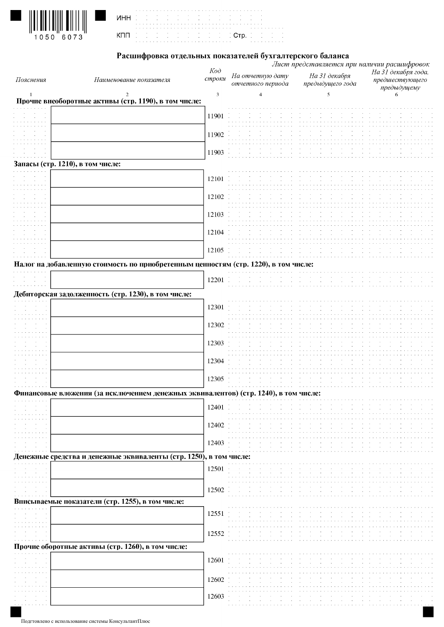

I

| <b>NHH</b> (2012) (1913) and a series and a | the contract of the contract of the contract of the contract of the contract of the contract of |  |  |  |  |  |  |  |  |  |  |  |  |  |  |  |  |  |  |  |  |
|---------------------------------------------|-------------------------------------------------------------------------------------------------|--|--|--|--|--|--|--|--|--|--|--|--|--|--|--|--|--|--|--|--|
| KOO DE DE DE DE DE DE DE DE DOOR DE DE DE D |                                                                                                 |  |  |  |  |  |  |  |  |  |  |  |  |  |  |  |  |  |  |  |  |

# Расшифровка отдельных показателей бухгалтерского баланса

|                                  |                                                                                      | $K$ oð |                                       | Лист представляется при наличии расшифровок |                                                       |
|----------------------------------|--------------------------------------------------------------------------------------|--------|---------------------------------------|---------------------------------------------|-------------------------------------------------------|
| Пояснения                        | Наименование показателя                                                              | строки | На отчетную дату<br>отчетного периода | На 31 декабря<br>предыдущего года           | На 31 декабря года,<br>предшествующего<br>предыдущему |
| $\mathbf{1}$                     |                                                                                      | 3      | $\overline{4}$                        | 5                                           |                                                       |
|                                  | Прочие внеоборотные активы (стр. 1190), в том числе:                                 |        |                                       |                                             |                                                       |
|                                  |                                                                                      | 11901  |                                       |                                             |                                                       |
|                                  |                                                                                      |        |                                       |                                             |                                                       |
|                                  |                                                                                      | 11902  |                                       |                                             |                                                       |
|                                  |                                                                                      |        |                                       |                                             |                                                       |
|                                  |                                                                                      | 11903  |                                       |                                             |                                                       |
| Запасы (стр. 1210), в том числе: |                                                                                      |        |                                       |                                             |                                                       |
|                                  |                                                                                      | 12101  |                                       |                                             |                                                       |
|                                  |                                                                                      |        |                                       |                                             |                                                       |
|                                  |                                                                                      | 12102  |                                       |                                             |                                                       |
|                                  |                                                                                      |        |                                       |                                             |                                                       |
|                                  |                                                                                      | 12103  |                                       |                                             |                                                       |
|                                  |                                                                                      |        |                                       |                                             |                                                       |
|                                  |                                                                                      | 12104  |                                       |                                             |                                                       |
|                                  |                                                                                      |        |                                       |                                             |                                                       |
|                                  |                                                                                      | 12105  |                                       |                                             |                                                       |
|                                  | Налог на добавленную стоимость по приобретенным ценностям (стр. 1220), в том числе:  |        |                                       |                                             |                                                       |
|                                  |                                                                                      |        |                                       |                                             |                                                       |
|                                  |                                                                                      | 12201  |                                       |                                             |                                                       |
|                                  | Дебиторская задолженность (стр. 1230), в том числе:                                  |        |                                       |                                             |                                                       |
|                                  |                                                                                      | 12301  |                                       |                                             |                                                       |
|                                  |                                                                                      |        |                                       |                                             |                                                       |
|                                  |                                                                                      | 12302  |                                       |                                             |                                                       |
|                                  |                                                                                      |        |                                       |                                             |                                                       |
|                                  |                                                                                      | 12303  |                                       |                                             |                                                       |
|                                  |                                                                                      |        |                                       |                                             |                                                       |
|                                  |                                                                                      | 12304  |                                       |                                             |                                                       |
|                                  |                                                                                      |        |                                       |                                             |                                                       |
|                                  |                                                                                      | 12305  |                                       |                                             |                                                       |
|                                  | Финансовые вложения (за исключением денежных эквивалентов) (стр. 1240), в том числе: |        |                                       |                                             |                                                       |
|                                  |                                                                                      |        |                                       |                                             |                                                       |
|                                  |                                                                                      | 12401  |                                       |                                             |                                                       |
|                                  |                                                                                      | 12402  |                                       |                                             |                                                       |
|                                  |                                                                                      |        |                                       |                                             |                                                       |
|                                  |                                                                                      | 12403  |                                       |                                             |                                                       |
|                                  |                                                                                      |        |                                       |                                             |                                                       |
|                                  | Денежные средства и денежные эквиваленты (стр. 1250), в том числе:                   |        |                                       |                                             |                                                       |
|                                  |                                                                                      | 12501  |                                       |                                             |                                                       |
|                                  |                                                                                      |        |                                       |                                             |                                                       |
|                                  |                                                                                      | 12502  |                                       |                                             |                                                       |
|                                  | Вписываемые показатели (стр. 1255), в том числе:                                     |        |                                       |                                             |                                                       |
|                                  |                                                                                      | 12551  |                                       |                                             |                                                       |
|                                  |                                                                                      |        |                                       |                                             |                                                       |
|                                  |                                                                                      | 12552  |                                       |                                             |                                                       |
|                                  |                                                                                      |        |                                       |                                             |                                                       |
|                                  | Прочие оборотные активы (стр. 1260), в том числе:                                    |        |                                       |                                             |                                                       |
|                                  |                                                                                      | 12601  |                                       |                                             |                                                       |
|                                  |                                                                                      |        |                                       |                                             |                                                       |
|                                  |                                                                                      | 12602  |                                       |                                             |                                                       |
|                                  |                                                                                      |        |                                       |                                             |                                                       |
|                                  |                                                                                      | 12603  |                                       |                                             |                                                       |
|                                  |                                                                                      |        |                                       |                                             |                                                       |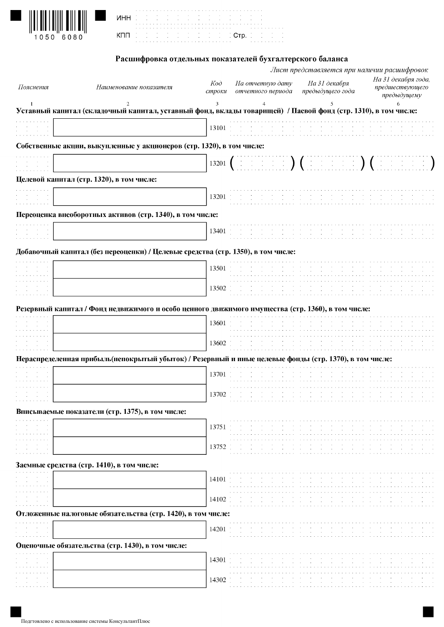|  | 医单位分解 医白细胞 医单位分解 医白细胞 医单位 医单位 医单位 医单位 医单位 医单位的 医白细胞       |                                                                                                                 | the second contract of the second contract of the second contract of |  |  |  |  |  |  |  |  |  |  |  |  |  |  |  |  |  |
|--|-----------------------------------------------------------|-----------------------------------------------------------------------------------------------------------------|----------------------------------------------------------------------|--|--|--|--|--|--|--|--|--|--|--|--|--|--|--|--|--|
|  | de la constitución de la constitución de la Corp. De la c | the main and compared to the main state of the state of the state of the state of the state of the state of the |                                                                      |  |  |  |  |  |  |  |  |  |  |  |  |  |  |  |  |  |

## Расшифровка отдельных показателей бухгалтерского баланса

 $\begin{array}{c} \bullet \rightarrow \rightarrow \rightarrow \\ \bullet \rightarrow \rightarrow \\ \bullet \rightarrow \rightarrow \rightarrow \end{array}$ 

|                                                      |                                                                                                                |               |                                       | Лист представляется при наличии расшифровок |                                                       |
|------------------------------------------------------|----------------------------------------------------------------------------------------------------------------|---------------|---------------------------------------|---------------------------------------------|-------------------------------------------------------|
| Пояснения                                            | Наименование показателя                                                                                        | Koò<br>строки | На отчетную дату<br>отчетного периода | На 31 декабря<br>предыдущего года           | На 31 декабря года,<br>предшествующего<br>предыдущему |
|                                                      | Уставный капитал (складочный капитал, уставный фонд, вклады товарищей) / Паевой фонд (стр. 1310), в том числе: |               |                                       |                                             | 6                                                     |
|                                                      |                                                                                                                | 13101         |                                       |                                             |                                                       |
|                                                      | Собственные акции, выкупленные у акционеров (стр. 1320), в том числе:                                          |               |                                       |                                             |                                                       |
|                                                      |                                                                                                                | 13201         |                                       |                                             |                                                       |
|                                                      | Целевой капитал (стр. 1320), в том числе:                                                                      |               |                                       |                                             |                                                       |
|                                                      |                                                                                                                | 13201         |                                       |                                             |                                                       |
|                                                      | Переоценка внеоборотных активов (стр. 1340), в том числе:                                                      |               |                                       |                                             |                                                       |
|                                                      |                                                                                                                | 13401         |                                       |                                             |                                                       |
|                                                      | Добавочный капитал (без переоценки) / Целевые средства (стр. 1350), в том числе:                               |               |                                       |                                             |                                                       |
|                                                      |                                                                                                                | 13501         |                                       |                                             |                                                       |
|                                                      |                                                                                                                | 13502         |                                       |                                             |                                                       |
|                                                      | Резервный капитал / Фонд недвижимого и особо ценного движимого имущества (стр. 1360), в том числе:             |               |                                       |                                             |                                                       |
|                                                      |                                                                                                                | 13601         |                                       |                                             |                                                       |
|                                                      |                                                                                                                | 13602         |                                       |                                             |                                                       |
|                                                      | Нераспределенная прибыль (непокрытый убыток) / Резервный и иные целевые фонды (стр. 1370), в том числе:        |               |                                       |                                             |                                                       |
|                                                      |                                                                                                                | 13701         |                                       |                                             |                                                       |
|                                                      |                                                                                                                | 13702         |                                       |                                             |                                                       |
|                                                      | Вписываемые показатели (стр. 1375), в том числе:                                                               |               |                                       |                                             |                                                       |
|                                                      |                                                                                                                | 13751         |                                       |                                             |                                                       |
|                                                      |                                                                                                                | 13752         |                                       |                                             |                                                       |
|                                                      | Заемные средства (стр. 1410), в том числе:                                                                     |               |                                       |                                             |                                                       |
| and the control of                                   |                                                                                                                | 14101         |                                       |                                             |                                                       |
|                                                      |                                                                                                                | 14102         |                                       |                                             |                                                       |
|                                                      | Отложенные налоговые обязательства (стр. 1420), в том числе:                                                   |               |                                       |                                             |                                                       |
| $\sim$<br>$\sim$<br>$\alpha$ , $\beta$ , $\alpha$    |                                                                                                                | 14201         |                                       |                                             |                                                       |
|                                                      | Оценочные обязательства (стр. 1430), в том числе:                                                              |               |                                       |                                             |                                                       |
| <b>Contract</b><br>the company's company's company's |                                                                                                                | 14301         |                                       |                                             |                                                       |
|                                                      |                                                                                                                | 14302         |                                       |                                             |                                                       |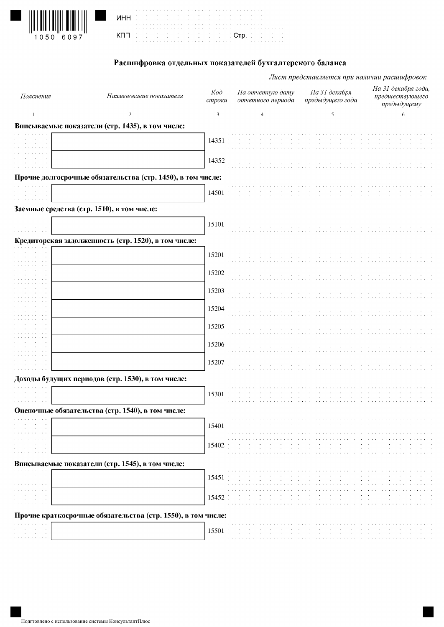| $\left\{ \left[ \left[ \right] \right] \left[ \left[ \left[ \left[ \right] \right] \right] \right] \left[ \left[ \left[ \left[ \left[ \left[ \right] \right] \right] \right] \right] \right\} \right\}$ |  |
|---------------------------------------------------------------------------------------------------------------------------------------------------------------------------------------------------------|--|
| 1050 6097                                                                                                                                                                                               |  |

| the contract of the contract of the contract of the contract of the contract of the contract of                       |
|-----------------------------------------------------------------------------------------------------------------------|
| 1888 - Paul II (1995), prima ang pangalang pangalang pangalang pangalang pangalang pangalang pangalang pangalang pang |
| a caracterization and a caracterization and a caracterization of the contraction of a caracterization                 |
|                                                                                                                       |
| China de la casa de la casa de la casa de la casa de la casa de la casa de la casa de la casa de la casa de la        |
|                                                                                                                       |
|                                                                                                                       |

#### Расшифровка отдельных показателей бухгалтерского баланса

Лист представляется при наличии расшифровок

На 31 декабря года,  $K$ oð На отчетную дату На 31 декабря Пояснения Наименование показателя предшествующего строки отчетного периода предыдущего года предыдущему  $\sqrt{6}$  $\,1\,$  $\overline{2}$  $\mathfrak 3$  $\overline{4}$ 5 Вписываемые показатели (стр. 1435), в том числе: 14351  $\sim$   $\sim$   $\sim$ and a state. 14352 Прочие долгосрочные обязательства (стр. 1450), в том числе: 14501 Заемные средства (стр. 1510), в том числе: 15101 Кредиторская задолженность (стр. 1520), в том числе: 15201 15202 ه د د د د د<br>د د د د د 15203  $\sim$   $\sim$   $\sim$   $\sim$ 15204 15205 15206 15207 Доходы будущих периодов (стр. 1530), в том числе: 15301 Оценочные обязательства (стр. 1540), в том числе: 15401 15402 Вписываемые показатели (стр. 1545), в том числе: 15451

# 15452

#### Прочие краткосрочные обязательства (стр. 1550), в том числе:

| .                                        |  |  |  |  |  |  |  |  |  |                                                                                                                 |  |  |
|------------------------------------------|--|--|--|--|--|--|--|--|--|-----------------------------------------------------------------------------------------------------------------|--|--|
|                                          |  |  |  |  |  |  |  |  |  | the contract of the contract of the contract of the contract of the contract of the contract of the contract of |  |  |
| the contract of the contract of the con- |  |  |  |  |  |  |  |  |  | the contract of the contract of the contract of the contract of the contract of the contract of the contract of |  |  |
| .                                        |  |  |  |  |  |  |  |  |  |                                                                                                                 |  |  |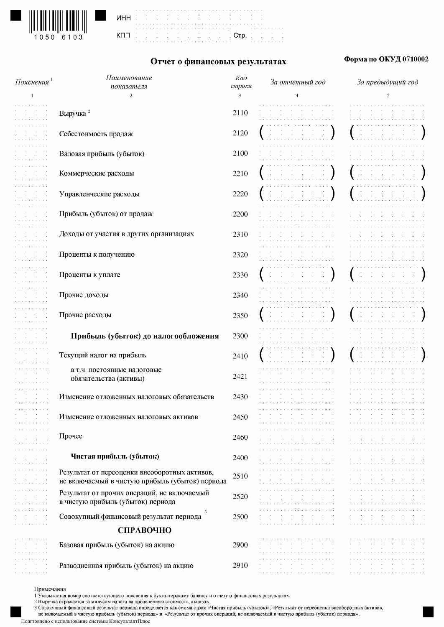

|     |  |   |  | í |
|-----|--|---|--|---|
| инн |  |   |  |   |
|     |  |   |  |   |
|     |  |   |  |   |
|     |  |   |  |   |
| кпп |  |   |  |   |
|     |  | ï |  |   |
|     |  |   |  |   |



#### Отчет о финансовых результатах

#### Форма по ОКУД 0710002

| Пояснения $^{\mathsf{\scriptscriptstyle I}}$ | Наименование                                    | $K$ od      | За отчетный год                                                                | За предыдущий год |
|----------------------------------------------|-------------------------------------------------|-------------|--------------------------------------------------------------------------------|-------------------|
| -1                                           | показателя<br>$\overline{c}$                    | строки<br>3 | 4                                                                              | 5                 |
|                                              |                                                 |             |                                                                                |                   |
|                                              | Выручка <sup>2</sup>                            | 2110        |                                                                                |                   |
|                                              |                                                 |             |                                                                                |                   |
|                                              | Себестоимость продаж                            | 2120        |                                                                                |                   |
|                                              |                                                 |             |                                                                                |                   |
|                                              | Валовая прибыль (убыток)                        | 2100        |                                                                                |                   |
|                                              |                                                 |             |                                                                                |                   |
|                                              | Коммерческие расходы                            | 2210        |                                                                                |                   |
|                                              |                                                 |             |                                                                                |                   |
|                                              | Управленческие расходы                          | 2220        |                                                                                |                   |
|                                              |                                                 |             |                                                                                |                   |
|                                              | Прибыль (убыток) от продаж                      | 2200        |                                                                                |                   |
|                                              |                                                 |             |                                                                                |                   |
|                                              | Доходы от участия в других организациях         |             |                                                                                |                   |
|                                              |                                                 | 2310        |                                                                                |                   |
|                                              |                                                 |             |                                                                                |                   |
|                                              | Проценты к получению                            | 2320        |                                                                                |                   |
|                                              |                                                 |             |                                                                                |                   |
|                                              | Проценты к уплате                               | 2330        |                                                                                |                   |
|                                              |                                                 |             |                                                                                |                   |
|                                              | Прочие доходы                                   | 2340        |                                                                                |                   |
|                                              |                                                 |             |                                                                                |                   |
|                                              | Прочие расходы                                  | 2350        |                                                                                |                   |
|                                              |                                                 |             |                                                                                |                   |
|                                              | Прибыль (убыток) до налогообложения             | 2300        |                                                                                |                   |
|                                              |                                                 |             |                                                                                |                   |
|                                              | Текущий налог на прибыль                        | 2410        |                                                                                |                   |
|                                              | в т.ч. постоянные налоговые                     |             |                                                                                |                   |
|                                              | обязательства (активы)                          | 2421        |                                                                                |                   |
|                                              |                                                 |             |                                                                                |                   |
|                                              | Изменение отложенных налоговых обязательств     | 2430        |                                                                                |                   |
|                                              |                                                 |             |                                                                                |                   |
|                                              | Изменение отложенных налоговых активов          | 2450        |                                                                                |                   |
|                                              |                                                 |             |                                                                                |                   |
|                                              | Прочее                                          | 2460        |                                                                                |                   |
|                                              |                                                 |             |                                                                                |                   |
|                                              | Чистая прибыль (убыток)                         | 2400        |                                                                                |                   |
|                                              |                                                 |             |                                                                                |                   |
|                                              | Результат от переоценки внеоборотных активов,   | 2510        |                                                                                |                   |
|                                              | не включаемый в чистую прибыль (убыток) периода |             |                                                                                |                   |
|                                              | Результат от прочих операций, не включаемый     | 2520        | $\sim$                                                                         |                   |
|                                              | в чистую прибыль (убыток) периода               |             |                                                                                |                   |
|                                              | 3<br>Совокупный финансовый результат периода    | 2500        |                                                                                |                   |
|                                              |                                                 |             | $\sim$<br>$\sim$<br>$\sim$<br>$\sim 100$<br>$\sim 10^{-1}$<br>$\sim$ 100 $\pm$ | $\sim$<br>$\sim$  |
|                                              | СПРАВОЧНО                                       |             |                                                                                |                   |
|                                              | Базовая прибыль (убыток) на акцию               | 2900        |                                                                                |                   |
|                                              |                                                 |             |                                                                                |                   |
|                                              | Разводненная прибыль (убыток) на акцию          | 2910        |                                                                                |                   |
|                                              |                                                 |             |                                                                                |                   |

#### Примечания

не включаемый в чистую прибыль (убыток) периода» и «Результат от прочих операций, не включаемый в чистую прибыль (убыток) периода».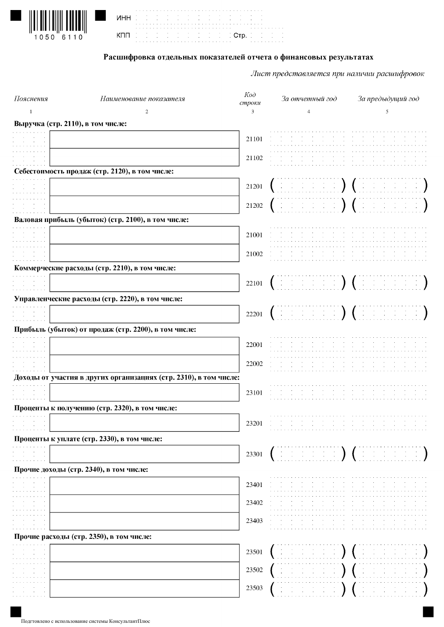

| инн | the contract of the contract of the contract of the contract of the contract of the contract of |  |  |  |  |  |  |  |  |  |                                                                 |  |  |  |  |        |  |  |  |  |  |  |  |
|-----|-------------------------------------------------------------------------------------------------|--|--|--|--|--|--|--|--|--|-----------------------------------------------------------------|--|--|--|--|--------|--|--|--|--|--|--|--|
|     | the contract of the contract of the contract of the contract of the contract of the contract of |  |  |  |  |  |  |  |  |  |                                                                 |  |  |  |  |        |  |  |  |  |  |  |  |
|     |                                                                                                 |  |  |  |  |  |  |  |  |  |                                                                 |  |  |  |  |        |  |  |  |  |  |  |  |
|     | the contract of the contract of the contract of the contract of the contract of                 |  |  |  |  |  |  |  |  |  | the control of the control of the control of the control of the |  |  |  |  | . Стр. |  |  |  |  |  |  |  |
|     |                                                                                                 |  |  |  |  |  |  |  |  |  |                                                                 |  |  |  |  |        |  |  |  |  |  |  |  |
|     |                                                                                                 |  |  |  |  |  |  |  |  |  |                                                                 |  |  |  |  |        |  |  |  |  |  |  |  |

## Расшифровка отдельных показателей отчета о финансовых результатах

| Пояснения                 | Наименование показателя                                           | $K$ od<br>строки | За отчетный год                                                                                                                                                                                                                                                                                                               | За предыдущий год        |
|---------------------------|-------------------------------------------------------------------|------------------|-------------------------------------------------------------------------------------------------------------------------------------------------------------------------------------------------------------------------------------------------------------------------------------------------------------------------------|--------------------------|
| -1                        | 2                                                                 | 3                | 4                                                                                                                                                                                                                                                                                                                             | 5                        |
|                           | Выручка (стр. 2110), в том числе:                                 |                  |                                                                                                                                                                                                                                                                                                                               |                          |
|                           |                                                                   | 21101            |                                                                                                                                                                                                                                                                                                                               |                          |
|                           |                                                                   |                  |                                                                                                                                                                                                                                                                                                                               |                          |
|                           |                                                                   | 21102            |                                                                                                                                                                                                                                                                                                                               |                          |
|                           | Себестоимость продаж (стр. 2120), в том числе:                    |                  |                                                                                                                                                                                                                                                                                                                               |                          |
|                           |                                                                   | 21201            |                                                                                                                                                                                                                                                                                                                               |                          |
|                           |                                                                   |                  |                                                                                                                                                                                                                                                                                                                               |                          |
|                           |                                                                   | 21202            | $\left(\begin{array}{cc} 0 & 0 & 0 \\ 0 & 0 & 0 \end{array}\right)$ ( )                                                                                                                                                                                                                                                       |                          |
|                           | Валовая прибыль (убыток) (стр. 2100), в том числе:                |                  |                                                                                                                                                                                                                                                                                                                               |                          |
|                           |                                                                   | 21001            |                                                                                                                                                                                                                                                                                                                               |                          |
|                           |                                                                   |                  |                                                                                                                                                                                                                                                                                                                               |                          |
|                           |                                                                   | 21002            |                                                                                                                                                                                                                                                                                                                               |                          |
|                           | Коммерческие расходы (стр. 2210), в том числе:                    |                  |                                                                                                                                                                                                                                                                                                                               |                          |
| .                         |                                                                   | 22101            |                                                                                                                                                                                                                                                                                                                               | energian (international) |
|                           |                                                                   |                  |                                                                                                                                                                                                                                                                                                                               |                          |
|                           | Управленческие расходы (стр. 2220), в том числе:                  |                  |                                                                                                                                                                                                                                                                                                                               |                          |
|                           |                                                                   | 22201            | $\left(\begin{array}{cc} 0 & 0 & 0 & 0 & 0 & 0 \\ 0 & 0 & 0 & 0 & 0 & 0 \\ 0 & 0 & 0 & 0 & 0 & 0 \\ 0 & 0 & 0 & 0 & 0 & 0 \\ 0 & 0 & 0 & 0 & 0 & 0 \\ 0 & 0 & 0 & 0 & 0 & 0 \\ 0 & 0 & 0 & 0 & 0 & 0 \\ 0 & 0 & 0 & 0 & 0 & 0 \\ 0 & 0 & 0 & 0 & 0 & 0 \\ 0 & 0 & 0 & 0 & 0 & 0 & 0 \\ 0 & 0 & 0 & 0 & 0 & 0 & 0 \\ 0 & 0 & $ |                          |
|                           | Прибыль (убыток) от продаж (стр. 2200), в том числе:              |                  |                                                                                                                                                                                                                                                                                                                               |                          |
|                           |                                                                   |                  |                                                                                                                                                                                                                                                                                                                               |                          |
|                           |                                                                   | 22001            |                                                                                                                                                                                                                                                                                                                               |                          |
|                           |                                                                   | 22002            |                                                                                                                                                                                                                                                                                                                               |                          |
|                           | Доходы от участия в других организациях (стр. 2310), в том числе: |                  |                                                                                                                                                                                                                                                                                                                               |                          |
|                           |                                                                   |                  |                                                                                                                                                                                                                                                                                                                               |                          |
|                           |                                                                   | 23101            |                                                                                                                                                                                                                                                                                                                               |                          |
|                           | Проценты к получению (стр. 2320), в том числе:                    |                  |                                                                                                                                                                                                                                                                                                                               |                          |
|                           |                                                                   | 23201            |                                                                                                                                                                                                                                                                                                                               |                          |
|                           |                                                                   |                  |                                                                                                                                                                                                                                                                                                                               |                          |
|                           | Проценты к уплате (стр. 2330), в том числе:                       |                  |                                                                                                                                                                                                                                                                                                                               |                          |
| $\sim 10^{-10}$ m $^{-1}$ |                                                                   | 23301            |                                                                                                                                                                                                                                                                                                                               |                          |
|                           | Прочие доходы (стр. 2340), в том числе:                           |                  |                                                                                                                                                                                                                                                                                                                               |                          |
|                           |                                                                   | 23401            |                                                                                                                                                                                                                                                                                                                               |                          |
|                           |                                                                   |                  |                                                                                                                                                                                                                                                                                                                               |                          |
|                           |                                                                   | 23402            |                                                                                                                                                                                                                                                                                                                               |                          |
|                           |                                                                   |                  |                                                                                                                                                                                                                                                                                                                               |                          |
|                           |                                                                   | 23403            |                                                                                                                                                                                                                                                                                                                               |                          |
|                           | Прочие расходы (стр. 2350), в том числе:                          |                  |                                                                                                                                                                                                                                                                                                                               |                          |
|                           |                                                                   | 23501            |                                                                                                                                                                                                                                                                                                                               |                          |
|                           |                                                                   |                  |                                                                                                                                                                                                                                                                                                                               |                          |
|                           |                                                                   | 23502            |                                                                                                                                                                                                                                                                                                                               |                          |
|                           |                                                                   | 23503            |                                                                                                                                                                                                                                                                                                                               |                          |
| and a series and          |                                                                   |                  |                                                                                                                                                                                                                                                                                                                               |                          |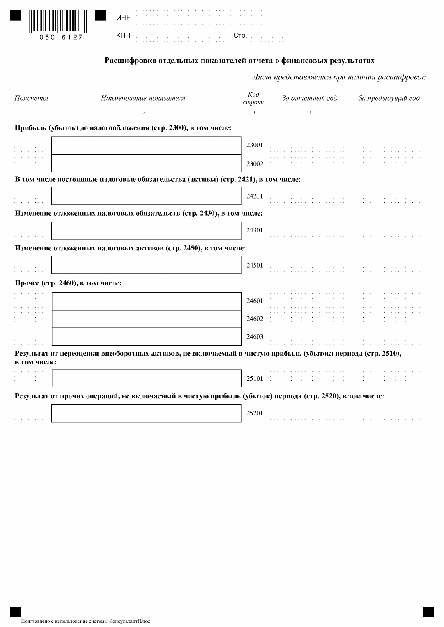|        |  | $\mathcal{L} \subset \mathcal{L} \subset \mathcal{L}$                                                                                                                                                                                                               |
|--------|--|---------------------------------------------------------------------------------------------------------------------------------------------------------------------------------------------------------------------------------------------------------------------|
|        |  |                                                                                                                                                                                                                                                                     |
| $\sim$ |  | المعامل المعامل المعامل المعامل المعامل المعامل المعامل المعامل المعامل المعامل المعامل المعامل المعامل المعام<br>وقد المعامل المعامل المعامل المعامل المعامل المعامل المعامل المعامل المعامل المعامل المعامل المعامل المعامل ال<br><b>SECOND DESCRIPTION COMP.</b> |

|| ||| | ||||||| ||||||||||<br>1050 6127

#### Расшифровка отдельных показателей отчета о финансовых результатах

ti<br>Li

| Пояснения                        | Наименование показателя                                                                                    | $K$ od<br>строки | За отчетный год | За предыдущий год |
|----------------------------------|------------------------------------------------------------------------------------------------------------|------------------|-----------------|-------------------|
| $\mathbf{1}$                     | 2                                                                                                          | 3                | $\overline{4}$  | 5                 |
|                                  | Прибыль (убыток) до налогообложения (стр. 2300), в том числе:                                              |                  |                 |                   |
| <b>Contract</b>                  |                                                                                                            | 23001            |                 |                   |
|                                  |                                                                                                            | 23002            |                 |                   |
|                                  | В том числе постоянные налоговые обязательства (активы) (стр. 2421), в том числе:                          |                  |                 |                   |
|                                  |                                                                                                            | 24211            |                 |                   |
|                                  | Изменение отложенных налоговых обязательств (стр. 2430), в том числе:                                      |                  |                 |                   |
| <b>Contractor</b>                |                                                                                                            | 24301            |                 |                   |
|                                  | Изменение отложенных налоговых активов (стр. 2450), в том числе:                                           |                  |                 |                   |
| and the control                  |                                                                                                            | 24501            |                 |                   |
| Прочее (стр. 2460), в том числе: |                                                                                                            |                  |                 |                   |
|                                  |                                                                                                            | 24601            |                 |                   |
|                                  |                                                                                                            | 24602            |                 |                   |
|                                  |                                                                                                            | 24603            |                 |                   |
| в том числе:                     | Результат от переоценки внеоборотных активов, не включаемый в чистую прибыль (убыток) периода (стр. 2510), |                  |                 |                   |
|                                  |                                                                                                            | 25101            |                 |                   |
|                                  | Результат от прочих операций, не включаемый в чистую прибыль (убыток) периода (стр. 2520), в том числе:    |                  |                 |                   |
|                                  |                                                                                                            | 25201            |                 |                   |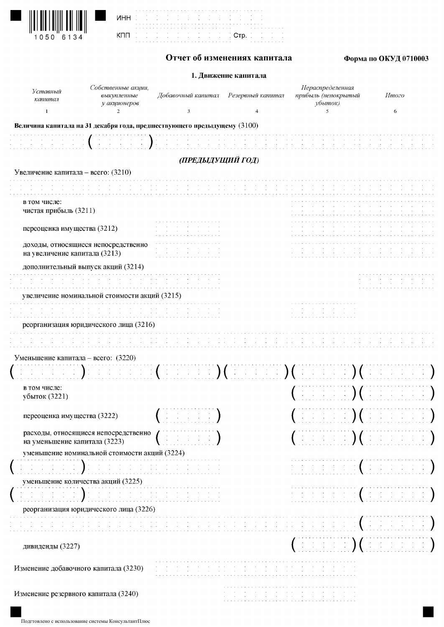| $\left\{ \left[ \left[ \begin{array}{ccc} 0 & 0 & 0 \\ 0 & 0 & 0 \\ 0 & 0 & 0 \\ 0 & 0 & 0 \\ 0 & 0 & 0 \\ 0 & 0 & 0 \\ 0 & 0 & 0 \\ 0 & 0 & 0 \\ 0 & 0 & 0 \\ 0 & 0 & 0 \\ 0 & 0 & 0 \\ 0 & 0 & 0 \\ 0 & 0 & 0 \\ 0 & 0 & 0 \\ 0 & 0 & 0 \\ 0 & 0 & 0 & 0 \\ 0 & 0 & 0 & 0 \\ 0 & 0 & 0 & 0 \\ 0 & 0 & 0 & 0 \\ 0 & 0 & 0 & 0 \\ 0 & 0 & 0$ |
|----------------------------------------------------------------------------------------------------------------------------------------------------------------------------------------------------------------------------------------------------------------------------------------------------------------------------------------------|
| 1050 6134                                                                                                                                                                                                                                                                                                                                    |

|            | ٠  |  |   |  |    |  |   |  |   |  |  |
|------------|----|--|---|--|----|--|---|--|---|--|--|
|            | ٠  |  | ٠ |  | ٠  |  | ٠ |  | ٠ |  |  |
| <b>NHH</b> | ٠  |  | ٠ |  | ×, |  | ٠ |  | ٠ |  |  |
|            |    |  |   |  |    |  |   |  |   |  |  |
|            |    |  |   |  |    |  |   |  |   |  |  |
| KNN        |    |  | ł |  | ٠  |  | ٠ |  | ٠ |  |  |
|            | í  |  | ï |  | ×  |  | ٠ |  | ٠ |  |  |
|            | 14 |  |   |  |    |  |   |  |   |  |  |

## Отчет об изменениях капитала

a a shekarar a sa  $CTP$ .

 $\frac{1}{2}$  $\frac{1}{2}$ 

# Форма по ОКУД 0710003

### 1. Движение капитала

| Уставный<br>капитал                                                      | Собственные акции,<br>выкупленные<br>у акционеров                                              | Добавочный капитал                                                                                                                                                               | Резервный капитал                                                            | Нераспределенная<br>прибыль (непокрытый<br>убыток)                                                 | Итого                                                                                                 |
|--------------------------------------------------------------------------|------------------------------------------------------------------------------------------------|----------------------------------------------------------------------------------------------------------------------------------------------------------------------------------|------------------------------------------------------------------------------|----------------------------------------------------------------------------------------------------|-------------------------------------------------------------------------------------------------------|
| $\mathbf{1}$                                                             | 2                                                                                              | 3                                                                                                                                                                                | $\overline{4}$                                                               | 5                                                                                                  | 6                                                                                                     |
| Величина капитала на 31 декабря года, предшествующего предыдущему (3100) |                                                                                                |                                                                                                                                                                                  |                                                                              |                                                                                                    |                                                                                                       |
|                                                                          | $\mathbb{E} \left[ \begin{array}{ccc} 1 & 1 & 1 \ 1 & 1 & 1 \end{array} \right)$ is a function |                                                                                                                                                                                  |                                                                              |                                                                                                    |                                                                                                       |
|                                                                          |                                                                                                | (ПРЕДЫДУЩИЙ ГОД)                                                                                                                                                                 |                                                                              |                                                                                                    |                                                                                                       |
| Увеличение капитала - всего: (3210)                                      |                                                                                                |                                                                                                                                                                                  |                                                                              |                                                                                                    |                                                                                                       |
|                                                                          |                                                                                                |                                                                                                                                                                                  |                                                                              |                                                                                                    |                                                                                                       |
| в том числе:<br>чистая прибыль (3211)                                    |                                                                                                |                                                                                                                                                                                  |                                                                              |                                                                                                    |                                                                                                       |
| переоценка имущества (3212)                                              |                                                                                                |                                                                                                                                                                                  |                                                                              |                                                                                                    |                                                                                                       |
| доходы, относящиеся непосредственно<br>на увеличение капитала (3213)     |                                                                                                | $\sim 100$<br><b>Contract Contract</b>                                                                                                                                           |                                                                              |                                                                                                    |                                                                                                       |
| дополнительный выпуск акций (3214)                                       |                                                                                                |                                                                                                                                                                                  |                                                                              |                                                                                                    |                                                                                                       |
|                                                                          |                                                                                                |                                                                                                                                                                                  |                                                                              |                                                                                                    |                                                                                                       |
| увеличение номинальной стоимости акций (3215)                            |                                                                                                |                                                                                                                                                                                  |                                                                              |                                                                                                    |                                                                                                       |
|                                                                          |                                                                                                |                                                                                                                                                                                  |                                                                              |                                                                                                    |                                                                                                       |
| реорганизация юридического лица (3216)                                   |                                                                                                |                                                                                                                                                                                  |                                                                              |                                                                                                    |                                                                                                       |
|                                                                          |                                                                                                |                                                                                                                                                                                  |                                                                              |                                                                                                    |                                                                                                       |
| Уменьшение капитала – всего: (3220)                                      |                                                                                                |                                                                                                                                                                                  |                                                                              |                                                                                                    |                                                                                                       |
| $\mathbb{C}^{\times}$ ) for $\mathbb{C}^{\times}$                        |                                                                                                | where $\left(\begin{array}{cc} 0 & 0 & 0 \end{array}\right)$ ( $\left(\begin{array}{cc} 0 & 0 & 0 \end{array}\right)$ ) ( $\left(\begin{array}{cc} 0 & 0 & 0 \end{array}\right)$ |                                                                              |                                                                                                    | $\mathbb{C}^n$ in the $\mathbb{C}^n$ of $\mathbb{C}^n$                                                |
| в том числе:<br>убыток (3221)                                            |                                                                                                |                                                                                                                                                                                  |                                                                              | $\mathbb{R}^n$ is a set $\mathbb{R}^n$ of $\mathbb{R}^n$                                           |                                                                                                       |
| переоценка имущества (3222)                                              |                                                                                                | the control of the control of<br>and the contract of the                                                                                                                         |                                                                              | the contract of the contract of the                                                                | $\mathcal{M}$ is a set of the set of $\mathcal{M}$<br>the control of the control of the               |
| расходы, относящиеся непосредственно<br>на уменьшение капитала (3223)    |                                                                                                |                                                                                                                                                                                  |                                                                              |                                                                                                    | (1, 1, 1, 1, 1, 1, 1)                                                                                 |
| уменьшение номинальной стоимости акций (3224)                            |                                                                                                |                                                                                                                                                                                  |                                                                              |                                                                                                    |                                                                                                       |
| $\mathcal{L}(\mathcal{A})$ , $\mathcal{L}(\mathcal{A})$ ,                |                                                                                                |                                                                                                                                                                                  |                                                                              | $\mathcal{A}(\mathcal{A})$ , and $\mathcal{A}(\mathcal{A})$ , and $\mathcal{A}(\mathcal{A})$ , and | $\mathcal{A} \subset \mathcal{A} \subset \mathcal{A} \subset \mathcal{A}$                             |
| уменьшение количества акций (3225)                                       |                                                                                                |                                                                                                                                                                                  |                                                                              |                                                                                                    |                                                                                                       |
|                                                                          |                                                                                                | <u> Handel (Bandel Handel Handel)</u>                                                                                                                                            |                                                                              |                                                                                                    | did did did (did did did )                                                                            |
| реорганизация юридического лица (3226)                                   |                                                                                                |                                                                                                                                                                                  |                                                                              |                                                                                                    |                                                                                                       |
|                                                                          |                                                                                                | <b>Service State</b><br><b>Contract</b>                                                                                                                                          | <b>Service</b><br>$\sim 10^{11}$ m $^{-1}$<br>$\sim$<br>$\sim$<br>$\sim 100$ | contract the contract of<br><b>Service</b><br>$\sim$<br>$\sim$                                     | $\begin{bmatrix} 1 & 1 & 1 \\ 1 & 1 & 1 \end{bmatrix} = \begin{bmatrix} 1 & 1 \\ 1 & 1 \end{bmatrix}$ |
| дивиденды (3227)                                                         |                                                                                                |                                                                                                                                                                                  |                                                                              | $($ and $($ and $($ $)$ $($                                                                        |                                                                                                       |
| Изменение добавочного капитала (3230)                                    |                                                                                                | $\sim$<br>$\sim$<br>$\sim 100$                                                                                                                                                   |                                                                              | <b>Contractor</b><br>$\sim 100$ km s $^{-1}$<br>$\sim$<br>$\sim 10^{-1}$<br>$\sim 100$             |                                                                                                       |
| Изменение резервного капитала (3240)                                     |                                                                                                |                                                                                                                                                                                  |                                                                              |                                                                                                    |                                                                                                       |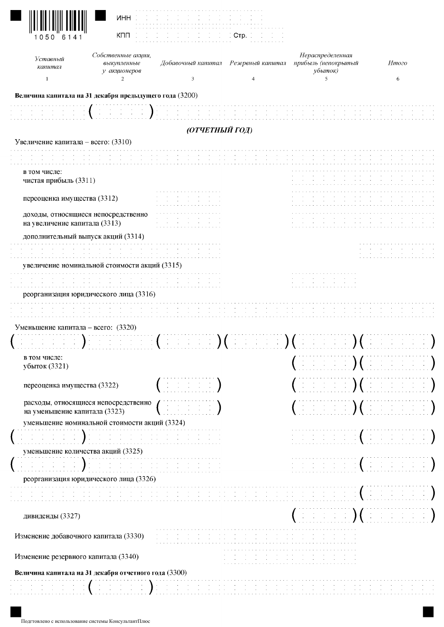| Уставный                                                                                                               | Собственные акции,                            |                                                                                                                                                                                                                                    |                                   | Нераспределенная                                                                                                                                                                             | Итого                                                                                                                                                                                                                                                                                                                                                                                                                                                              |
|------------------------------------------------------------------------------------------------------------------------|-----------------------------------------------|------------------------------------------------------------------------------------------------------------------------------------------------------------------------------------------------------------------------------------|-----------------------------------|----------------------------------------------------------------------------------------------------------------------------------------------------------------------------------------------|--------------------------------------------------------------------------------------------------------------------------------------------------------------------------------------------------------------------------------------------------------------------------------------------------------------------------------------------------------------------------------------------------------------------------------------------------------------------|
| капитал                                                                                                                | выкупленные<br>у акционеров                   | Добавочный капитал Резервный капитал                                                                                                                                                                                               |                                   | прибыль (непокрытый<br>убыток)                                                                                                                                                               |                                                                                                                                                                                                                                                                                                                                                                                                                                                                    |
| $\mathbf{1}$                                                                                                           | $\overline{2}$                                | 3                                                                                                                                                                                                                                  |                                   | 5                                                                                                                                                                                            | 6                                                                                                                                                                                                                                                                                                                                                                                                                                                                  |
| Величина капитала на 31 декабря предыдущего года (3200)                                                                |                                               |                                                                                                                                                                                                                                    |                                   |                                                                                                                                                                                              |                                                                                                                                                                                                                                                                                                                                                                                                                                                                    |
|                                                                                                                        | $\frac{1}{2}$ , $\frac{1}{2}$ , $\frac{1}{2}$ | <b>Service State</b>                                                                                                                                                                                                               |                                   |                                                                                                                                                                                              |                                                                                                                                                                                                                                                                                                                                                                                                                                                                    |
|                                                                                                                        |                                               | (ОТЧЕТНЫЙ ГОД)                                                                                                                                                                                                                     |                                   |                                                                                                                                                                                              |                                                                                                                                                                                                                                                                                                                                                                                                                                                                    |
| Увеличение капитала – всего: $(3310)$                                                                                  |                                               |                                                                                                                                                                                                                                    |                                   |                                                                                                                                                                                              |                                                                                                                                                                                                                                                                                                                                                                                                                                                                    |
|                                                                                                                        |                                               |                                                                                                                                                                                                                                    |                                   |                                                                                                                                                                                              |                                                                                                                                                                                                                                                                                                                                                                                                                                                                    |
| в том числе:                                                                                                           |                                               |                                                                                                                                                                                                                                    |                                   |                                                                                                                                                                                              |                                                                                                                                                                                                                                                                                                                                                                                                                                                                    |
| чистая прибыль (3311)                                                                                                  |                                               |                                                                                                                                                                                                                                    |                                   |                                                                                                                                                                                              |                                                                                                                                                                                                                                                                                                                                                                                                                                                                    |
| переоценка имущества (3312)                                                                                            |                                               |                                                                                                                                                                                                                                    |                                   |                                                                                                                                                                                              |                                                                                                                                                                                                                                                                                                                                                                                                                                                                    |
| доходы, относящиеся непосредственно                                                                                    |                                               | and the state of the                                                                                                                                                                                                               |                                   |                                                                                                                                                                                              |                                                                                                                                                                                                                                                                                                                                                                                                                                                                    |
| на увеличение капитала (3313)                                                                                          |                                               |                                                                                                                                                                                                                                    |                                   |                                                                                                                                                                                              |                                                                                                                                                                                                                                                                                                                                                                                                                                                                    |
| дополнительный выпуск акций (3314)                                                                                     |                                               |                                                                                                                                                                                                                                    |                                   |                                                                                                                                                                                              |                                                                                                                                                                                                                                                                                                                                                                                                                                                                    |
|                                                                                                                        |                                               |                                                                                                                                                                                                                                    |                                   |                                                                                                                                                                                              |                                                                                                                                                                                                                                                                                                                                                                                                                                                                    |
| увеличение номинальной стоимости акций (3315)                                                                          |                                               |                                                                                                                                                                                                                                    |                                   |                                                                                                                                                                                              |                                                                                                                                                                                                                                                                                                                                                                                                                                                                    |
|                                                                                                                        |                                               |                                                                                                                                                                                                                                    |                                   |                                                                                                                                                                                              |                                                                                                                                                                                                                                                                                                                                                                                                                                                                    |
|                                                                                                                        |                                               |                                                                                                                                                                                                                                    |                                   |                                                                                                                                                                                              |                                                                                                                                                                                                                                                                                                                                                                                                                                                                    |
|                                                                                                                        |                                               |                                                                                                                                                                                                                                    |                                   |                                                                                                                                                                                              |                                                                                                                                                                                                                                                                                                                                                                                                                                                                    |
| реорганизация юридического лица (3316)                                                                                 |                                               |                                                                                                                                                                                                                                    |                                   |                                                                                                                                                                                              |                                                                                                                                                                                                                                                                                                                                                                                                                                                                    |
|                                                                                                                        |                                               |                                                                                                                                                                                                                                    |                                   |                                                                                                                                                                                              |                                                                                                                                                                                                                                                                                                                                                                                                                                                                    |
| Уменьшение капитала - всего: (3320)                                                                                    |                                               |                                                                                                                                                                                                                                    |                                   |                                                                                                                                                                                              |                                                                                                                                                                                                                                                                                                                                                                                                                                                                    |
|                                                                                                                        |                                               |                                                                                                                                                                                                                                    |                                   |                                                                                                                                                                                              |                                                                                                                                                                                                                                                                                                                                                                                                                                                                    |
|                                                                                                                        |                                               |                                                                                                                                                                                                                                    |                                   |                                                                                                                                                                                              |                                                                                                                                                                                                                                                                                                                                                                                                                                                                    |
|                                                                                                                        |                                               |                                                                                                                                                                                                                                    |                                   | - 1990年 - 1990年 - 1990年 - 1990年 - 1990年 - 1990年 - 1990年 - 1990年 - 1990年 - 1990年 - 1990年 - 1990年 - 1<br>1990年 - 1990年 - 1990年 - 1990年 - 1990年 - 1990年 - 1990年 - 1990年 - 1990年 - 1990年 - 1990年 |                                                                                                                                                                                                                                                                                                                                                                                                                                                                    |
| в том числе:<br>убыток (3321)<br>переоценка имущества (3322)                                                           |                                               |                                                                                                                                                                                                                                    |                                   | $\mathcal{L} \subset \mathcal{L}$ , $\mathcal{L}$                                                                                                                                            | $\label{eq:3.1} \begin{array}{ll} \mathbb{E}[\mathbb{E}[\mathbb{E}[\mathbb{E}[\mathbb{E}[\mathbb{E}[\mathbb{E}[\mathbb{E}[\mathbb{E}[\mathbb{E}[\mathbb{E}[\mathbb{E}[\mathbb{E}[\mathbb{E}[\mathbb{E}[\mathbb{E}[\mathbb{E}[\mathbb{E}[\mathbb{E}[\mathbb{E}[\mathbb{E}[\mathbb{E}[\mathbb{E}[\mathbb{E}[\mathbb{E}[\mathbb{E}[\mathbb{E}[\mathbb{E}[\mathbb{E}[\mathbb{E}[\mathbb{E}[\mathbb{E}[\mathbb{E}[\mathbb{E}$<br>$\big)$ ( in the set of $\mathbb{R}^n$ |
|                                                                                                                        |                                               |                                                                                                                                                                                                                                    |                                   |                                                                                                                                                                                              |                                                                                                                                                                                                                                                                                                                                                                                                                                                                    |
|                                                                                                                        |                                               | $\mathcal{I}=\mathcal{I}=\mathcal{I}=\mathcal{I}=\mathcal{I}$                                                                                                                                                                      |                                   | , in the form $\bigcup$ ( in the form in the following                                                                                                                                       |                                                                                                                                                                                                                                                                                                                                                                                                                                                                    |
| расходы, относящиеся непосредственно<br>на уменьшение капитала (3323)<br>уменьшение номинальной стоимости акций (3324) |                                               |                                                                                                                                                                                                                                    |                                   |                                                                                                                                                                                              |                                                                                                                                                                                                                                                                                                                                                                                                                                                                    |
|                                                                                                                        |                                               | 111<br>1111 - Paul II (1111 - 1111 - 1111 - 1111 - 1111 - 1111 - 1111 - 1111 - 1111 - 1111 - 1111 - 1111 - 1111 -<br>1111 - 1111 - 1111 - 1111 - 1111 - 1111 - 1111 - 1111 - 1111 - 1111 - 1111 - 1111 - 1111 - 1111 - 1111 - 1111 |                                   | distribution (in distribution)                                                                                                                                                               |                                                                                                                                                                                                                                                                                                                                                                                                                                                                    |
|                                                                                                                        |                                               |                                                                                                                                                                                                                                    |                                   |                                                                                                                                                                                              |                                                                                                                                                                                                                                                                                                                                                                                                                                                                    |
|                                                                                                                        |                                               |                                                                                                                                                                                                                                    |                                   |                                                                                                                                                                                              |                                                                                                                                                                                                                                                                                                                                                                                                                                                                    |
| уменьшение количества акций (3325)<br>реорганизация юридического лица (3326)                                           |                                               |                                                                                                                                                                                                                                    |                                   |                                                                                                                                                                                              |                                                                                                                                                                                                                                                                                                                                                                                                                                                                    |
|                                                                                                                        |                                               | the contract of the contract of the contract of the contract of the contract of the contract of the<br>and the company<br><b>Contract Contract</b>                                                                                 | the control of the control of the | and the company of the                                                                                                                                                                       | $\mathcal{A} \subset \mathcal{X} \subset \mathcal{X}$                                                                                                                                                                                                                                                                                                                                                                                                              |
|                                                                                                                        |                                               |                                                                                                                                                                                                                                    |                                   |                                                                                                                                                                                              |                                                                                                                                                                                                                                                                                                                                                                                                                                                                    |
| дивиденды (3327)                                                                                                       |                                               |                                                                                                                                                                                                                                    |                                   | $\left(\begin{array}{cc} 0 & 0 & 0 & 0 & 0 \end{array}\right)$ ( $\left(\begin{array}{cc} 0 & 0 & 0 & 0 \end{array}\right)$ ) and $\left(\begin{array}{cc} 0 & 0 & 0 \end{array}\right)$     |                                                                                                                                                                                                                                                                                                                                                                                                                                                                    |
| Изменение добавочного капитала (3330)                                                                                  |                                               |                                                                                                                                                                                                                                    |                                   | the control of the control of the                                                                                                                                                            |                                                                                                                                                                                                                                                                                                                                                                                                                                                                    |
| Изменение резервного капитала (3340)                                                                                   |                                               |                                                                                                                                                                                                                                    |                                   |                                                                                                                                                                                              |                                                                                                                                                                                                                                                                                                                                                                                                                                                                    |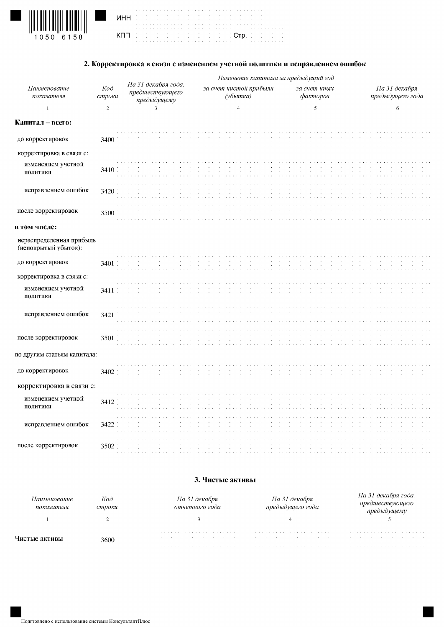

|  |  |  | the contract of the contract of the contract of the contract of the contract of the contract of<br><b>NHH</b> (2012) (1913) (1914) (1914) (1914) (1914)                   |  |  |
|--|--|--|---------------------------------------------------------------------------------------------------------------------------------------------------------------------------|--|--|
|  |  |  | a caracterization and contract and contract and contract of the contract of the contract of the contract of the<br>KOD DE DE DE DE DE DE DE DE <mark>CTP.</mark> DE DE DE |  |  |

#### 2. Корректировка в связи с изменением учетной политики и исправлением ошибок

|                                                  |                           |                                                                             |                                    | Изменение капитала за предыдущий год |                                   |
|--------------------------------------------------|---------------------------|-----------------------------------------------------------------------------|------------------------------------|--------------------------------------|-----------------------------------|
| Наименование<br>показателя                       | Ko <sub>d</sub><br>строки | На 31 декабря года,<br>предшествующего<br>предыдущему                       | за счет чистой прибыли<br>(убытка) | за счет иных<br>факторов             | На 31 декабря<br>предыдущего года |
| $\mathbf{1}$                                     | $\sqrt{2}$                | $\overline{\mathbf{3}}$                                                     | $\overline{4}$                     | 5                                    | 6                                 |
| Капитал - всего:                                 |                           |                                                                             |                                    |                                      |                                   |
| до корректировок                                 | 3400                      | $\sim$                                                                      |                                    |                                      |                                   |
| корректировка в связи с:                         |                           |                                                                             |                                    |                                      |                                   |
| изменением учетной<br>политики                   | 3410                      | $\sim$                                                                      |                                    |                                      |                                   |
| исправлением ошибок                              | 3420                      |                                                                             |                                    |                                      |                                   |
| после корректировок                              | 3500                      |                                                                             |                                    |                                      |                                   |
| в том числе:                                     |                           |                                                                             |                                    |                                      |                                   |
| нераспределенная прибыль<br>(непокрытый убыток): |                           |                                                                             |                                    |                                      |                                   |
| до корректировок                                 | 3401                      | $\mathcal{A}(\mathcal{A})$ and $\mathcal{A}(\mathcal{A})$<br>$\sim 10^{-1}$ |                                    |                                      |                                   |
| корректировка в связи с:                         |                           |                                                                             |                                    |                                      |                                   |
| изменением учетной<br>политики                   | 3411                      |                                                                             |                                    |                                      |                                   |
| исправлением ошибок                              | 3421                      |                                                                             |                                    |                                      |                                   |
| после корректировок                              | 3501                      |                                                                             |                                    |                                      |                                   |
| по другим статьям капитала:                      |                           |                                                                             |                                    |                                      |                                   |
| до корректировок                                 | 3402                      |                                                                             |                                    |                                      |                                   |
| корректировка в связи с:                         |                           |                                                                             |                                    |                                      |                                   |
| изменением учетной<br>политики                   | 3412                      |                                                                             |                                    |                                      |                                   |
| исправлением ошибок                              | 3422                      |                                                                             |                                    |                                      |                                   |
| после корректировок                              | 3502                      |                                                                             |                                    |                                      |                                   |

#### 3. Чистые активы

| тние<br>показателя | Код<br>строки | Ha 31<br>декабря<br>отчетного года   | Ha 31<br>декабря<br>предыдушего года                                                                                      | гооа. |  |  |  |  |  |  |  |
|--------------------|---------------|--------------------------------------|---------------------------------------------------------------------------------------------------------------------------|-------|--|--|--|--|--|--|--|
|                    |               |                                      |                                                                                                                           |       |  |  |  |  |  |  |  |
|                    | 3600          | the contract of the contract of<br>. | the committee of the committee of<br>the contract of the contract of the<br>the contract of the contract of the<br>$\sim$ |       |  |  |  |  |  |  |  |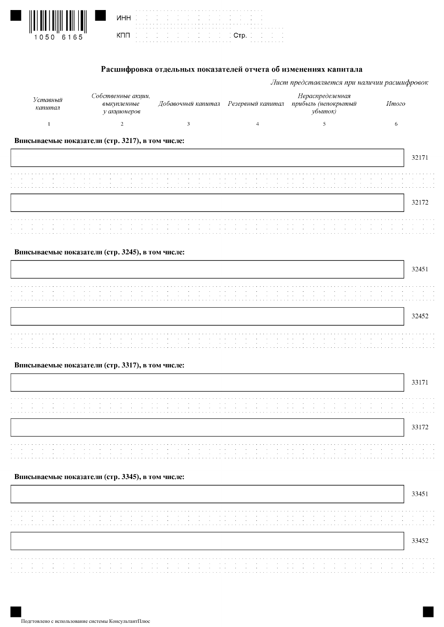| 1050 | 6165 |
|------|------|

| <b>NHH</b> (2012) 1913 1914 1925 1926 1927 |                                                    |  |  | the contract of the contract of the contract of the contract of the contract of the contract of |  |  |  |  |  |  |  |  |  |  |  |  |  |  |  |  |  |   |  |
|--------------------------------------------|----------------------------------------------------|--|--|-------------------------------------------------------------------------------------------------|--|--|--|--|--|--|--|--|--|--|--|--|--|--|--|--|--|---|--|
|                                            | de de de de de de de de di <b>orp</b> . De de de d |  |  |                                                                                                 |  |  |  |  |  |  |  |  |  |  |  |  |  |  |  |  |  | . |  |

#### Расшифровка отдельных показателей отчета об изменениях капитала

|                     |                                                   |                                      | Лист представляется при наличии расшифровок        |       |       |
|---------------------|---------------------------------------------------|--------------------------------------|----------------------------------------------------|-------|-------|
| Уставный<br>капитал | Собственные акции,<br>выкупленные<br>у акционеров | Добавочный капитал Резервный капитал | Нераспределенная<br>прибыль (непокрытый<br>убыток) | Итого |       |
|                     | 2                                                 | 3                                    | 5                                                  | 6     |       |
|                     | Вписываемые показатели (стр. 3217), в том числе:  |                                      |                                                    |       |       |
|                     |                                                   |                                      |                                                    |       | 32171 |
|                     |                                                   |                                      |                                                    |       |       |
|                     |                                                   |                                      |                                                    |       |       |
|                     |                                                   |                                      |                                                    |       | 32172 |
|                     |                                                   |                                      |                                                    |       |       |
|                     |                                                   |                                      |                                                    |       |       |
|                     |                                                   |                                      |                                                    |       |       |
|                     | Вписываемые показатели (стр. 3245), в том числе:  |                                      |                                                    |       |       |
|                     |                                                   |                                      |                                                    |       | 32451 |

Вписываемые показатели (стр. 3317), в том числе:

#### Вписываемые показатели (стр. 3345), в том числе: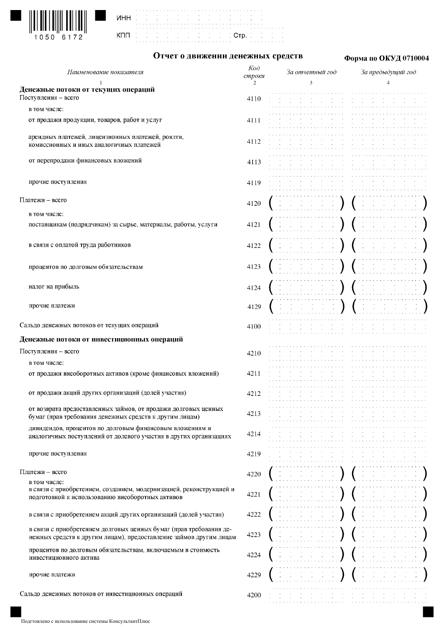

|  |  |  | WHH IS IS IS IS IS IS IS IS IS IS IS IS IS    |  |  |
|--|--|--|-----------------------------------------------|--|--|
|  |  |  |                                               |  |  |
|  |  |  |                                               |  |  |
|  |  |  | on the total that the total Crp. In the first |  |  |
|  |  |  |                                               |  |  |
|  |  |  |                                               |  |  |

# Отчет о движении денежных средств

## Форма по ОКУД 0710004

| Наименование показателя                                                                                                                  | Koò<br>строки | За отчетный год | За предыдущий год |
|------------------------------------------------------------------------------------------------------------------------------------------|---------------|-----------------|-------------------|
|                                                                                                                                          | 2             | 3               |                   |
| Денежные потоки от текущих операций                                                                                                      |               |                 |                   |
| Поступления - всего                                                                                                                      | 4110          |                 |                   |
| в том числе:                                                                                                                             |               |                 |                   |
| от продажи продукции, товаров, работ и услуг                                                                                             | 4111          |                 |                   |
|                                                                                                                                          |               |                 |                   |
| арендных платежей, лицензионных платежей, роялти,<br>комиссионных и иных аналогичных платежей                                            | 4112          |                 |                   |
|                                                                                                                                          |               |                 |                   |
| от перепродажи финансовых вложений                                                                                                       | 4113          |                 |                   |
|                                                                                                                                          |               |                 |                   |
| прочие поступления                                                                                                                       | 4119          |                 |                   |
|                                                                                                                                          |               |                 |                   |
| Платежи - всего                                                                                                                          | 4120          |                 |                   |
| в том числе:                                                                                                                             |               |                 |                   |
| поставщикам (подрядчикам) за сырье, материалы, работы, услуги                                                                            | 4121          |                 |                   |
|                                                                                                                                          |               |                 |                   |
| в связи с оплатой труда работников                                                                                                       | 4122          |                 |                   |
|                                                                                                                                          |               |                 |                   |
|                                                                                                                                          |               |                 |                   |
| процентов по долговым обязательствам                                                                                                     | 4123          |                 |                   |
|                                                                                                                                          |               |                 |                   |
| налог на прибыль                                                                                                                         | 4124          |                 |                   |
|                                                                                                                                          |               |                 |                   |
| прочие платежи                                                                                                                           | 4129          |                 |                   |
| Сальдо денежных потоков от текущих операций                                                                                              |               |                 |                   |
|                                                                                                                                          | 4100          |                 |                   |
| Денежные потоки от инвестиционных операций                                                                                               |               |                 |                   |
| Поступления - всего                                                                                                                      | 4210          |                 |                   |
| в том числе:                                                                                                                             |               |                 |                   |
| от продажи внеоборотных активов (кроме финансовых вложений)                                                                              | 4211          |                 |                   |
|                                                                                                                                          |               |                 |                   |
| от продажи акций других организаций (долей участия)                                                                                      | 4212          |                 |                   |
|                                                                                                                                          |               |                 |                   |
| от возврата предоставленных займов, от продажи долговых ценных<br>бумаг (прав требования денежных средств к другим лицам)                | 4213          |                 |                   |
|                                                                                                                                          |               |                 |                   |
| дивидендов, процентов по долговым финансовым вложениям и<br>аналогичных поступлений от долевого участия в других организациях            | 4214          |                 |                   |
|                                                                                                                                          |               |                 |                   |
| прочие поступления                                                                                                                       | 4219          |                 |                   |
|                                                                                                                                          |               |                 |                   |
| Платежи - всего                                                                                                                          | 4220          |                 |                   |
| в том числе:                                                                                                                             |               |                 |                   |
| в связи с приобретением, созданием, модернизацией, реконструкцией и<br>подготовкой к использованию внеоборотных активов                  | 4221          |                 |                   |
|                                                                                                                                          |               |                 |                   |
| в связи с приобретением акций других организаций (долей участия)                                                                         | 4222          |                 |                   |
|                                                                                                                                          |               |                 |                   |
| в связи с приобретением долговых ценных бумаг (прав требования де-<br>нежных средств к другим лицам), предоставление займов другим лицам | 4223          |                 |                   |
|                                                                                                                                          |               |                 |                   |
| процентов по долговым обязательствам, включаемым в стоимость<br>инвестиционного актива                                                   | 4224          |                 |                   |
|                                                                                                                                          |               |                 |                   |
| прочие платежи                                                                                                                           | 4229          |                 |                   |
|                                                                                                                                          |               |                 |                   |
| Сальдо денежных потоков от инвестиционных операций                                                                                       | 4200          |                 |                   |
|                                                                                                                                          |               |                 |                   |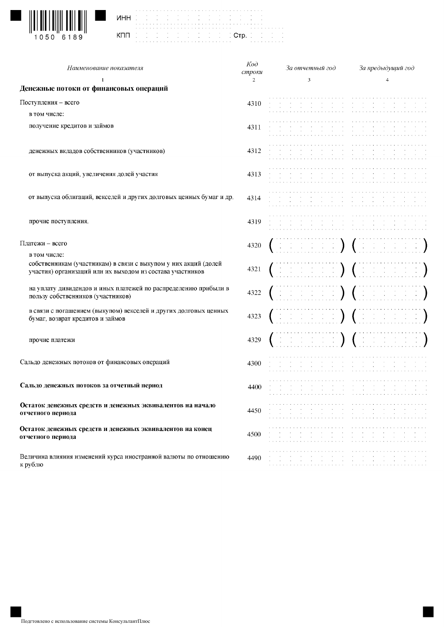

| ٠ | ï | ï | ï |   |  |    |  |
|---|---|---|---|---|--|----|--|
|   |   | ï |   |   |  | ٠  |  |
| ٠ |   | ٠ |   |   |  | ٠  |  |
|   |   |   |   |   |  |    |  |
| ٠ |   |   |   |   |  | ć  |  |
| ٠ |   | ٠ |   |   |  | ł, |  |
| ï |   | ï |   | ٠ |  | ٠  |  |
|   |   |   |   |   |  |    |  |

| Наименование показателя                                                                                                                      | $K$ od<br>строки | За отчетный год                                                                                                                                                                                                                                                                                                                                                                                 | За предыдущий год                                                                                                                                        |
|----------------------------------------------------------------------------------------------------------------------------------------------|------------------|-------------------------------------------------------------------------------------------------------------------------------------------------------------------------------------------------------------------------------------------------------------------------------------------------------------------------------------------------------------------------------------------------|----------------------------------------------------------------------------------------------------------------------------------------------------------|
| 1<br>Денежные потоки от финансовых операций                                                                                                  | $\overline{2}$   | 3                                                                                                                                                                                                                                                                                                                                                                                               | $\overline{4}$                                                                                                                                           |
| Поступления - всего                                                                                                                          | 4310             |                                                                                                                                                                                                                                                                                                                                                                                                 |                                                                                                                                                          |
| в том числе:                                                                                                                                 |                  |                                                                                                                                                                                                                                                                                                                                                                                                 |                                                                                                                                                          |
| получение кредитов и займов                                                                                                                  | 4311             |                                                                                                                                                                                                                                                                                                                                                                                                 |                                                                                                                                                          |
| денежных вкладов собственников (участников)                                                                                                  | 4312             |                                                                                                                                                                                                                                                                                                                                                                                                 |                                                                                                                                                          |
| от выпуска акций, увеличения долей участия                                                                                                   | 4313             |                                                                                                                                                                                                                                                                                                                                                                                                 |                                                                                                                                                          |
| от выпуска облигаций, векселей и других долговых ценных бумаг и др.                                                                          | 4314             |                                                                                                                                                                                                                                                                                                                                                                                                 |                                                                                                                                                          |
| прочие поступления.                                                                                                                          | 4319             |                                                                                                                                                                                                                                                                                                                                                                                                 |                                                                                                                                                          |
| Платежи - всего                                                                                                                              | 4320             | dia dia 1990 (dia 49                                                                                                                                                                                                                                                                                                                                                                            |                                                                                                                                                          |
| в том числе:<br>собственникам (участникам) в связи с выкупом у них акций (долей<br>участия) организаций или их выходом из состава участников | 4321             |                                                                                                                                                                                                                                                                                                                                                                                                 | ENERGIE) (HEREEL                                                                                                                                         |
| на уплату дивидендов и иных платежей по распределению прибыли в<br>пользу собственников (участников)                                         | 4322             |                                                                                                                                                                                                                                                                                                                                                                                                 |                                                                                                                                                          |
| в связи с погашением (выкупом) векселей и других долговых ценных<br>бумаг, возврат кредитов и займов                                         | 4323             |                                                                                                                                                                                                                                                                                                                                                                                                 | and in <b>) (</b> ) and a                                                                                                                                |
| прочие платежи                                                                                                                               | 4329             | ESTERNE DE CONTRACTO                                                                                                                                                                                                                                                                                                                                                                            |                                                                                                                                                          |
| Сальдо денежных потоков от финансовых операций                                                                                               | 4300             |                                                                                                                                                                                                                                                                                                                                                                                                 |                                                                                                                                                          |
| Сальдо денежных потоков за отчетный период                                                                                                   | 4400             |                                                                                                                                                                                                                                                                                                                                                                                                 |                                                                                                                                                          |
| Остаток денежных средств и денежных эквивалентов на начало<br>отчетного периода                                                              | 4450             | and the contract of the contract of the contract of the contract of the contract of<br>and the company of the company of the company of the company of the company of the company of the company of the company of the company of the company of the company of the company of the company of the company of the comp                                                                           |                                                                                                                                                          |
| Остаток денежных средств и денежных эквивалентов на конец<br>отчетного периода                                                               | 4500             | the contract of the contract<br>the control of<br>$\mathcal{A}(\mathcal{A})$ and $\mathcal{A}(\mathcal{A})$ and $\mathcal{A}(\mathcal{A})$<br><b>Carl Carl</b><br>a construction of the construction of the construction of the construction of the construction of the construction of the construction of the construction of the construction of the construction of the construction of the | <b>Contract</b><br>$\sim 100$<br>$\sim 10^{-11}$<br>$\sim 10^{-11}$<br>$\sim 10^{-1}$<br>$\sim 10^{-1}$<br>$\sim$<br>the contract of the contract of the |
| Величина влияния изменений курса иностранной валюты по отношению<br>к рублю                                                                  | 4490             | and the control<br>the control of the control of the control of<br>the contract of the contract of the contract of the<br>a caracteristic and a caracteristic and a caracteristic                                                                                                                                                                                                               | the company of the<br>and the control<br>والمتواط والمتواط والمتواط والمتواط والمتواط والمتواطئ                                                          |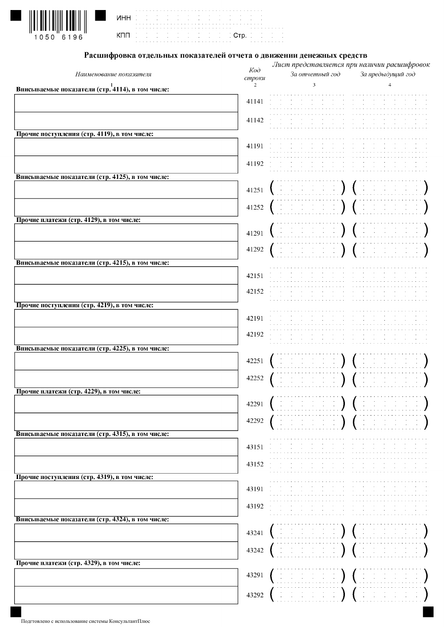

I

|  |  |  |  | the contract of the contract of the contract of the contract of the contract of the contract of<br>the contract of the contract of the contract of the contract of the |                                                                                                                                                                     |
|--|--|--|--|------------------------------------------------------------------------------------------------------------------------------------------------------------------------|---------------------------------------------------------------------------------------------------------------------------------------------------------------------|
|  |  |  |  |                                                                                                                                                                        | a caracterization and a caracterization and a caracterization of the contraction of a caracterization<br>und de de de de de de de di <mark>. Ctp.</mark> de de de d |

## Расшифровка отдельных показателей отчета о движении денежных средств

|                                                  | $K$ od |                                                                                                                                                                                                                                            | Лист представляется при наличии расшифровок                                                 |
|--------------------------------------------------|--------|--------------------------------------------------------------------------------------------------------------------------------------------------------------------------------------------------------------------------------------------|---------------------------------------------------------------------------------------------|
| Наименование показателя                          | строки | За отчетный год                                                                                                                                                                                                                            | За предыдущий год                                                                           |
| Вписываемые показатели (стр. 4114), в том числе: | 2      | 3                                                                                                                                                                                                                                          | 4                                                                                           |
|                                                  |        |                                                                                                                                                                                                                                            |                                                                                             |
|                                                  | 41141  |                                                                                                                                                                                                                                            |                                                                                             |
|                                                  | 41142  |                                                                                                                                                                                                                                            |                                                                                             |
|                                                  |        |                                                                                                                                                                                                                                            |                                                                                             |
| Прочие поступления (стр. 4119), в том числе:     |        |                                                                                                                                                                                                                                            |                                                                                             |
|                                                  | 41191  |                                                                                                                                                                                                                                            |                                                                                             |
|                                                  |        |                                                                                                                                                                                                                                            |                                                                                             |
|                                                  | 41192  |                                                                                                                                                                                                                                            |                                                                                             |
| Вписываемые показатели (стр. 4125), в том числе: |        |                                                                                                                                                                                                                                            |                                                                                             |
|                                                  | 41251  |                                                                                                                                                                                                                                            | $\mathcal{L}^{\mathcal{A}}_{\mathcal{A}}$ , where $\mathcal{L}^{\mathcal{A}}_{\mathcal{A}}$ |
|                                                  |        |                                                                                                                                                                                                                                            |                                                                                             |
|                                                  | 41252  | and a state of the state of the state of the state of the state of the state of the state of the state of the                                                                                                                              |                                                                                             |
| Прочие платежи (стр. 4129), в том числе:         |        |                                                                                                                                                                                                                                            |                                                                                             |
|                                                  | 41291  |                                                                                                                                                                                                                                            |                                                                                             |
|                                                  |        |                                                                                                                                                                                                                                            |                                                                                             |
|                                                  | 41292  |                                                                                                                                                                                                                                            |                                                                                             |
| Вписываемые показатели (стр. 4215), в том числе: |        |                                                                                                                                                                                                                                            |                                                                                             |
|                                                  | 42151  |                                                                                                                                                                                                                                            |                                                                                             |
|                                                  |        |                                                                                                                                                                                                                                            |                                                                                             |
|                                                  | 42152  |                                                                                                                                                                                                                                            |                                                                                             |
| Прочие поступления (стр. 4219), в том числе:     |        |                                                                                                                                                                                                                                            |                                                                                             |
|                                                  |        |                                                                                                                                                                                                                                            |                                                                                             |
|                                                  | 42191  |                                                                                                                                                                                                                                            |                                                                                             |
|                                                  | 42192  |                                                                                                                                                                                                                                            |                                                                                             |
|                                                  |        |                                                                                                                                                                                                                                            |                                                                                             |
| Вписываемые показатели (стр. 4225), в том числе: |        |                                                                                                                                                                                                                                            |                                                                                             |
|                                                  | 42251  | $\label{eq:2.1} \frac{1}{2} \left( \begin{array}{cc} 1 & 0 & 0 \\ 0 & 1 & 0 \\ 0 & 0 & 0 \end{array} \right) = \frac{1}{2} \left( \begin{array}{cc} 1 & 0 \\ 0 & 1 \end{array} \right)$<br>$\left( \begin{array}{c} 1 \end{array} \right)$ | $\frac{1}{2} \left( \frac{1}{2} \right) \left( \frac{1}{2} \right)$                         |
|                                                  | 42252  |                                                                                                                                                                                                                                            |                                                                                             |
|                                                  |        | $\left( \begin{array}{c} 1 \\ 1 \end{array} \right)$                                                                                                                                                                                       |                                                                                             |
| Прочие платежи (стр. 4229), в том числе:         |        |                                                                                                                                                                                                                                            |                                                                                             |
|                                                  | 42291  |                                                                                                                                                                                                                                            |                                                                                             |
|                                                  |        |                                                                                                                                                                                                                                            |                                                                                             |
|                                                  | 42292  |                                                                                                                                                                                                                                            |                                                                                             |
| Вписываемые показатели (стр. 4315), в том числе: |        |                                                                                                                                                                                                                                            |                                                                                             |
|                                                  | 43151  | the contract of the                                                                                                                                                                                                                        |                                                                                             |
|                                                  |        |                                                                                                                                                                                                                                            |                                                                                             |
|                                                  | 43152  |                                                                                                                                                                                                                                            |                                                                                             |
| Прочие поступления (стр. 4319), в том числе:     |        |                                                                                                                                                                                                                                            |                                                                                             |
|                                                  | 43191  |                                                                                                                                                                                                                                            |                                                                                             |
|                                                  |        |                                                                                                                                                                                                                                            |                                                                                             |
|                                                  | 43192  |                                                                                                                                                                                                                                            |                                                                                             |
| Вписываемые показатели (стр. 4324), в том числе: |        |                                                                                                                                                                                                                                            |                                                                                             |
|                                                  | 43241  |                                                                                                                                                                                                                                            |                                                                                             |
|                                                  |        |                                                                                                                                                                                                                                            |                                                                                             |
|                                                  | 43242  |                                                                                                                                                                                                                                            |                                                                                             |
| Прочие платежи (стр. 4329), в том числе:         |        |                                                                                                                                                                                                                                            |                                                                                             |
|                                                  | 43291  |                                                                                                                                                                                                                                            |                                                                                             |
|                                                  |        |                                                                                                                                                                                                                                            |                                                                                             |
|                                                  | 43292  | (Herbert Herbert ) (Herbert Herbert                                                                                                                                                                                                        |                                                                                             |
|                                                  |        |                                                                                                                                                                                                                                            |                                                                                             |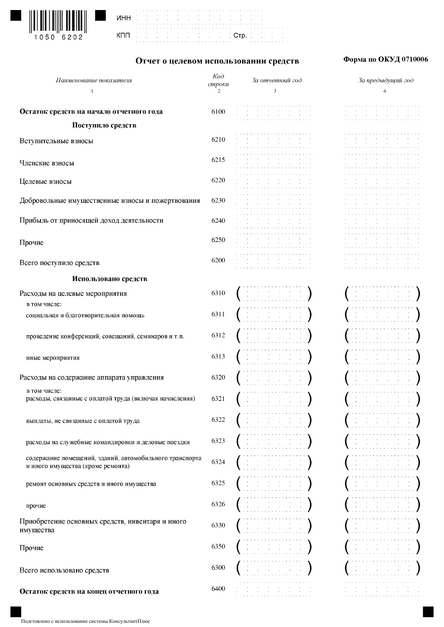

| инн |  |  |
|-----|--|--|
|     |  |  |
|     |  |  |
| кпп |  |  |
|     |  |  |
|     |  |  |



## Отчет о целевом использовании средств

## Форма по ОКУД 0710006

| Наименование показателя                                                                      | $K$ od<br>строки | За отчетный год                                                                                                                                                                                                     | За предыдущий год                                                           |
|----------------------------------------------------------------------------------------------|------------------|---------------------------------------------------------------------------------------------------------------------------------------------------------------------------------------------------------------------|-----------------------------------------------------------------------------|
| $\mathbf{1}$                                                                                 | 2                | $\overline{\mathbf{3}}$                                                                                                                                                                                             | 4                                                                           |
| Остаток средств на начало отчетного года                                                     | 6100             | the contract of the contract of the contract of the con-<br>the control of the control<br>$\mathcal{L}^{\text{c}}(\mathcal{A})$ and $\mathcal{L}^{\text{c}}(\mathcal{A})$ and $\mathcal{L}^{\text{c}}(\mathcal{A})$ | the contract of the contract<br>$\sim 100$<br>$\sim 10^{-11}$<br>$\sim 100$ |
| Поступило средств                                                                            |                  |                                                                                                                                                                                                                     |                                                                             |
| Вступительные взносы                                                                         | 6210             |                                                                                                                                                                                                                     |                                                                             |
|                                                                                              |                  |                                                                                                                                                                                                                     |                                                                             |
| Членские взносы                                                                              | 6215             |                                                                                                                                                                                                                     |                                                                             |
|                                                                                              |                  |                                                                                                                                                                                                                     |                                                                             |
| Целевые взносы                                                                               | 6220             |                                                                                                                                                                                                                     |                                                                             |
| Добровольные имущественные взносы и пожертвования                                            | 6230             |                                                                                                                                                                                                                     |                                                                             |
|                                                                                              |                  |                                                                                                                                                                                                                     |                                                                             |
| Прибыль от приносящей доход деятельности                                                     | 6240             |                                                                                                                                                                                                                     |                                                                             |
|                                                                                              |                  |                                                                                                                                                                                                                     |                                                                             |
| Прочие                                                                                       | 6250             | $\sim$<br>design and control of the state of                                                                                                                                                                        |                                                                             |
|                                                                                              | 6200             | $\sim$ 100 $\sim$<br><b>College</b>                                                                                                                                                                                 |                                                                             |
| Всего поступило средств                                                                      |                  | $\sim 10^{-1}$<br>and the contract of the contract                                                                                                                                                                  |                                                                             |
| Использовано средств                                                                         |                  |                                                                                                                                                                                                                     |                                                                             |
| Расходы на целевые мероприятия                                                               | 6310             | $\mathbb{C}^{\times} \times \mathbb{C}^{\times}$                                                                                                                                                                    |                                                                             |
| в том числе:                                                                                 |                  |                                                                                                                                                                                                                     |                                                                             |
| социальная и благотворительная помощь                                                        | 6311             |                                                                                                                                                                                                                     |                                                                             |
|                                                                                              |                  |                                                                                                                                                                                                                     |                                                                             |
| проведение конференций, совещаний, семинаров и т.п.                                          | 6312             |                                                                                                                                                                                                                     |                                                                             |
|                                                                                              | 6313             |                                                                                                                                                                                                                     |                                                                             |
| иные мероприятия                                                                             |                  |                                                                                                                                                                                                                     |                                                                             |
| Расходы на содержание аппарата управления                                                    | 6320             |                                                                                                                                                                                                                     |                                                                             |
| в том числе:                                                                                 |                  |                                                                                                                                                                                                                     |                                                                             |
| расходы, связанные с оплатой труда (включая начисления)                                      | 6321             |                                                                                                                                                                                                                     |                                                                             |
|                                                                                              |                  |                                                                                                                                                                                                                     |                                                                             |
| выплаты, не связанные с оплатой труда                                                        | 6322             | $\frac{1}{2} \left( \frac{1}{2} \right) \left( \frac{1}{2} \right) = \frac{1}{2}$                                                                                                                                   |                                                                             |
|                                                                                              | 6323             |                                                                                                                                                                                                                     |                                                                             |
| расходы на служебные командировки и деловые поездки                                          |                  |                                                                                                                                                                                                                     |                                                                             |
| содержание помещений, зданий, автомобильного транспорта<br>и иного имущества (кроме ремонта) | 6324             |                                                                                                                                                                                                                     |                                                                             |
|                                                                                              |                  |                                                                                                                                                                                                                     |                                                                             |
| ремонт основных средств и иного имущества                                                    | 6325             |                                                                                                                                                                                                                     |                                                                             |
|                                                                                              |                  |                                                                                                                                                                                                                     |                                                                             |
| прочие                                                                                       | 6326             |                                                                                                                                                                                                                     |                                                                             |
| Приобретение основных средств, инвентаря и иного                                             | 6330             |                                                                                                                                                                                                                     |                                                                             |
| имущества                                                                                    |                  |                                                                                                                                                                                                                     |                                                                             |
| Прочие                                                                                       | 6350             |                                                                                                                                                                                                                     |                                                                             |
|                                                                                              |                  |                                                                                                                                                                                                                     |                                                                             |
| Всего использовано средств                                                                   | 6300             |                                                                                                                                                                                                                     |                                                                             |
|                                                                                              |                  |                                                                                                                                                                                                                     |                                                                             |
| Остаток средств на конец отчетного года                                                      | 6400             |                                                                                                                                                                                                                     |                                                                             |